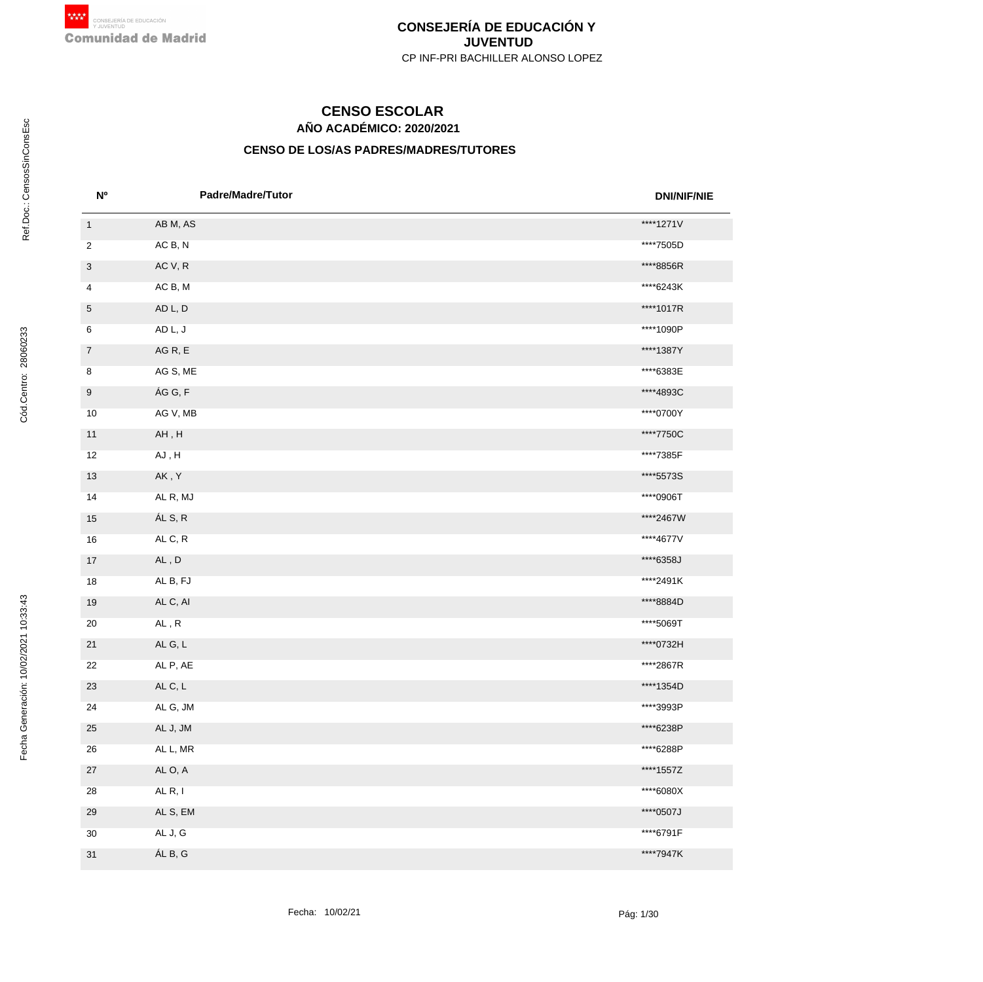# **AÑO ACADÉMICO: 2020/2021 CENSO ESCOLAR**

| <b>N°</b>      | <b>Padre/Madre/Tutor</b>                   | <b>DNI/NIF/NIE</b> |
|----------------|--------------------------------------------|--------------------|
| $\overline{1}$ | AB M, AS                                   | ****1271V          |
| 2              | AC B, N                                    | ****7505D          |
| 3              | AC V, R                                    | ****8856R          |
| 4              | AC B, M                                    | ****6243K          |
| 5              | AD L, D                                    | ****1017R          |
| 6              | AD L, J                                    | ****1090P          |
| $\overline{7}$ | AGR, E                                     | ****1387Y          |
| 8              | AG S, ME                                   | ****6383E          |
| 9              | ÁG G, F                                    | ****4893C          |
| 10             | AG V, MB                                   | ****0700Y          |
| $11$           | $\mathsf{AH}\, ,\mathsf{H}$                | ****7750C          |
| 12             | AJ, H                                      | ****7385F          |
| 13             | AK, Y                                      | ****5573S          |
| 14             | AL R, MJ                                   | ****0906T          |
| 15             | ÁL S, R                                    | ****2467W          |
| 16             | ALC, R                                     | ****4677V          |
| 17             | AL, D                                      | ****6358J          |
| 18             | AL B, FJ                                   | ****2491K          |
| $19$           | AL C, AI                                   | ****8884D          |
| $20\,$         | $\mathsf{AL}\xspace$ , $\mathsf{R}\xspace$ | ****5069T          |
| 21             | ALG, L                                     | ****0732H          |
| 22             | AL P, AE                                   | ****2867R          |
| 23             | ALC, L                                     | ****1354D          |
| 24             | AL G, JM                                   | ****3993P          |
| 25             | AL J, JM                                   | ****6238P          |
| 26             | AL L, MR                                   | ****6288P          |
| $27\,$         | AL O, A                                    | ****1557Z          |
| 28             | AL <sub>R</sub> , I                        | ****6080X          |
| 29             | AL S, EM                                   | ****0507J          |
| $30\,$         | AL J, G                                    | ****6791F          |
| 31             | ÁL B, G                                    | ****7947K          |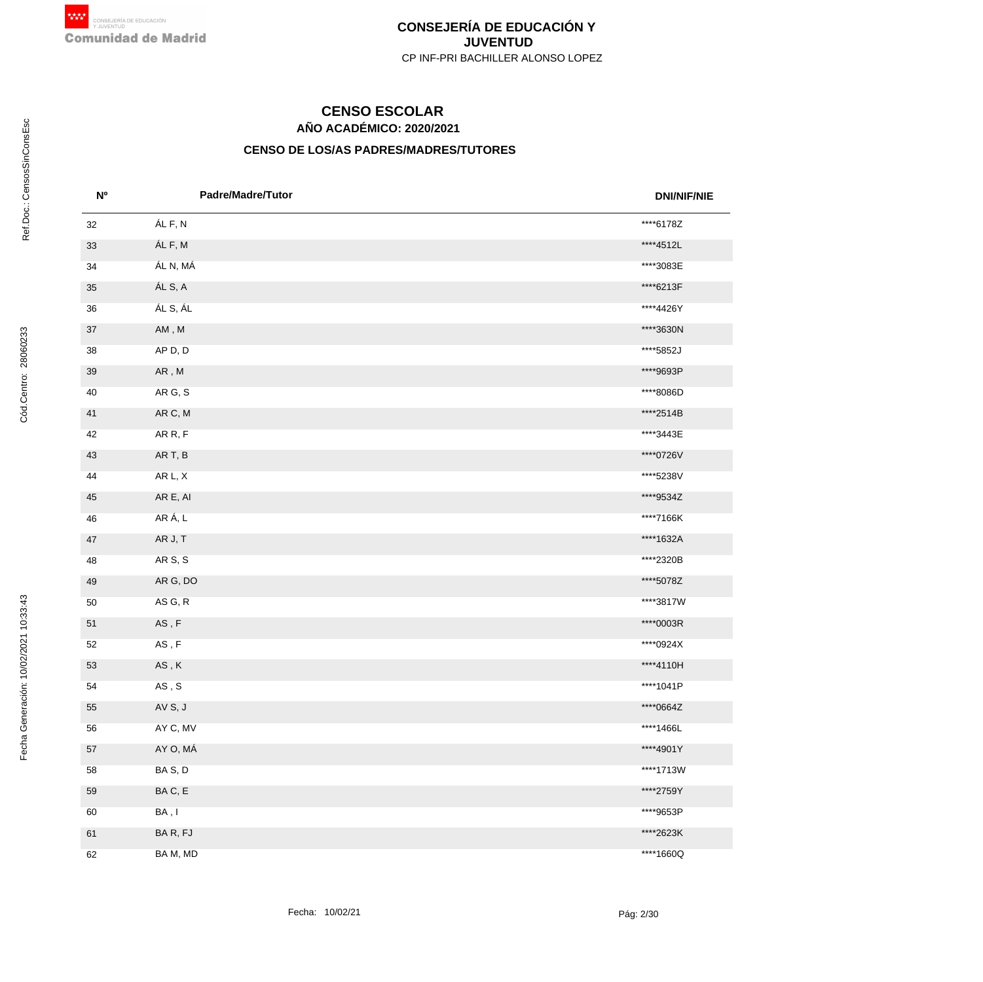# **AÑO ACADÉMICO: 2020/2021 CENSO ESCOLAR**

| <b>N°</b> | <b>Padre/Madre/Tutor</b>                   | <b>DNI/NIF/NIE</b> |
|-----------|--------------------------------------------|--------------------|
| 32        | ÁL F, N                                    | ****6178Z          |
| 33        | ÁL F, M                                    | ****4512L          |
| 34        | ÁL N, MÁ                                   | ****3083E          |
| 35        | ÁL S, A                                    | ****6213F          |
| 36        | ÁL S, ÁL                                   | ****4426Y          |
| $37\,$    | $\mathsf{AM}\xspace$ , $\mathsf{M}\xspace$ | ****3630N          |
| 38        | AP D, D                                    | ****5852J          |
| $39\,$    | ${\sf AR}$ , ${\sf M}$                     | ****9693P          |
| 40        | AR G, S                                    | ****8086D          |
| 41        | AR C, M                                    | ****2514B          |
| 42        | AR R, F                                    | ****3443E          |
| 43        | AR T, B                                    | ****0726V          |
| 44        | AR L, X                                    | ****5238V          |
| 45        | AR E, AI                                   | ****9534Z          |
| 46        | AR Á, L                                    | ****7166K          |
| $47\,$    | AR J, T                                    | ****1632A          |
| 48        | AR S, S                                    | ****2320B          |
| 49        | AR G, DO                                   | ****5078Z          |
| 50        | AS G, R                                    | ****3817W          |
| 51        | $\mathsf{AS}\xspace$ , $\mathsf{F}\xspace$ | ****0003R          |
| 52        | $\mathsf{AS}\xspace$ , $\mathsf{F}\xspace$ | ****0924X          |
| 53        | $\mathsf{AS}\xspace$ , $\mathsf{K}\xspace$ | ****4110H          |
| 54        | $\mathsf{AS}\xspace$ , $\mathsf{S}\xspace$ | ****1041P          |
| 55        | AV S, J                                    | ****0664Z          |
| 56        | AY C, MV                                   | ****1466L          |
| 57        | AY O, MÁ                                   | ****4901Y          |
| 58        | BAS, D                                     | ****1713W          |
| 59        | BAC, E                                     | ****2759Y          |
| 60        | BA, I                                      | ****9653P          |
| 61        | BAR, FJ                                    | ****2623K          |
| 62        | BA M, MD                                   | ****1660Q          |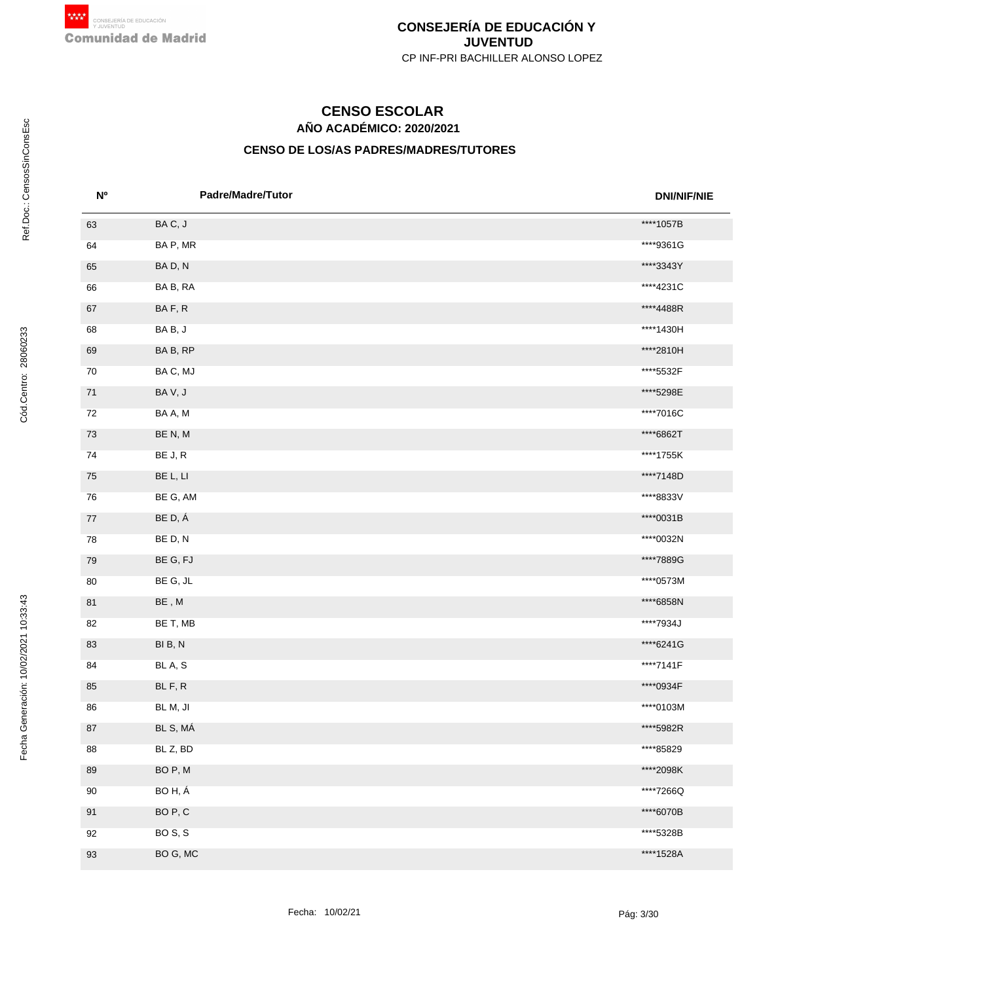# **AÑO ACADÉMICO: 2020/2021 CENSO ESCOLAR**

| N <sup>o</sup> | <b>Padre/Madre/Tutor</b>                   | <b>DNI/NIF/NIE</b> |
|----------------|--------------------------------------------|--------------------|
| 63             | BAC, J                                     | ****1057B          |
| 64             | BA P, MR                                   | ****9361G          |
| 65             | BAD, N                                     | ****3343Y          |
| 66             | BA B, RA                                   | ****4231C          |
| 67             | BAF, R                                     | ****4488R          |
| 68             | BAB, J                                     | ****1430H          |
| 69             | BA B, RP                                   | ****2810H          |
| 70             | BAC, MJ                                    | ****5532F          |
| 71             | BAV, J                                     | ****5298E          |
| 72             | BA A, M                                    | ****7016C          |
| 73             | BE N, M                                    | ****6862T          |
| 74             | BE J, R                                    | ****1755K          |
| 75             | BE L, LI                                   | ****7148D          |
| 76             | BE G, AM                                   | ****8833V          |
| 77             | BE D, Á                                    | ****0031B          |
| 78             | BE D, N                                    | ****0032N          |
| 79             | BE G, FJ                                   | ****7889G          |
| 80             | BE G, JL                                   | ****0573M          |
| 81             | $\mathsf{BE}\xspace$ , $\mathsf{M}\xspace$ | ****6858N          |
| 82             | BE T, MB                                   | ****7934J          |
| 83             | BIB, N                                     | ****6241G          |
| 84             | BL A, S                                    | ****7141F          |
| 85             | BL F, R                                    | ****0934F          |
| 86             | BL M, JI                                   | ****0103M          |
| $87\,$         | BL S, MÁ                                   | ****5982R          |
| 88             | BL Z, BD                                   | ****85829          |
| 89             | BO P, M                                    | ****2098K          |
| 90             | BOH, Á                                     | ****7266Q          |
| 91             | BO <sub>P</sub> , C                        | ****6070B          |
| 92             | BOS, S                                     | ****5328B          |
| 93             | BO G, MC                                   | ****1528A          |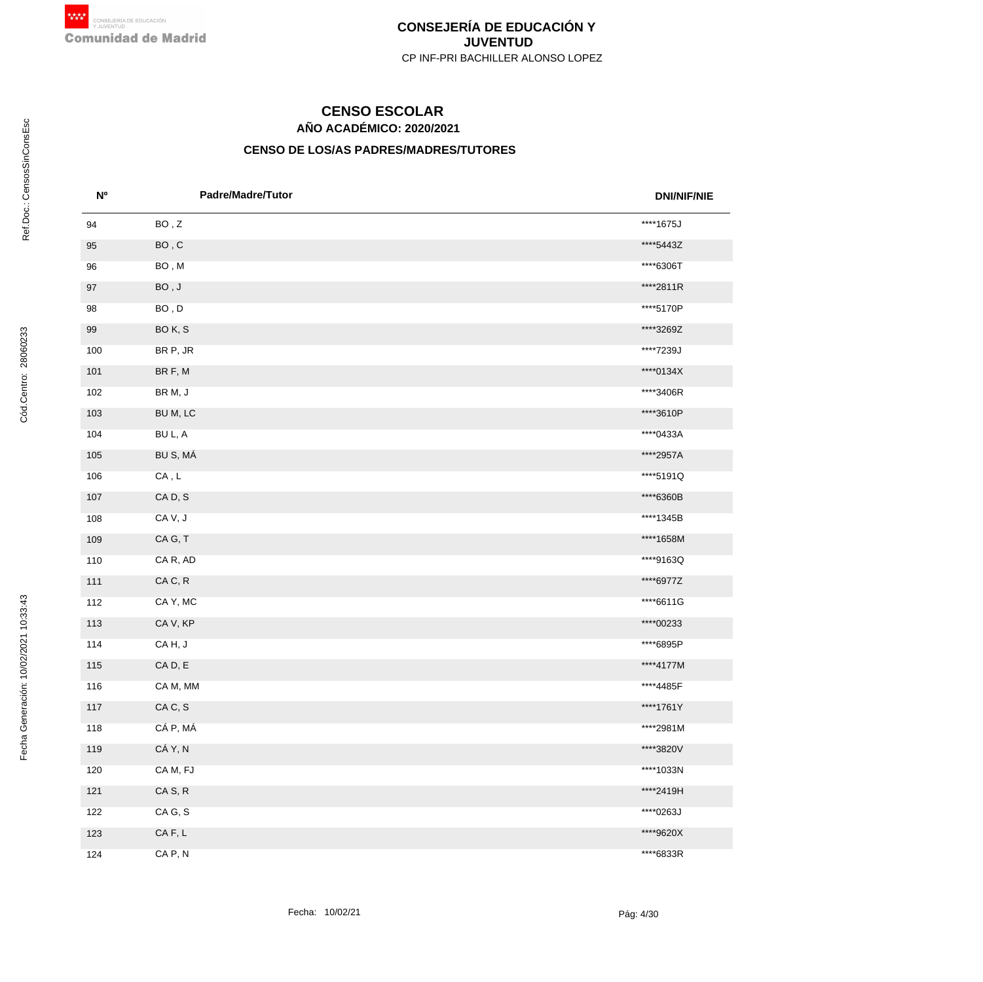# **AÑO ACADÉMICO: 2020/2021 CENSO ESCOLAR**

| N <sup>o</sup> | <b>Padre/Madre/Tutor</b>                   | <b>DNI/NIF/NIE</b> |
|----------------|--------------------------------------------|--------------------|
| 94             | BO, Z                                      | ****1675J          |
| 95             | $\mathsf{BO}$ , $\mathsf{C}$               | ****5443Z          |
| 96             | BO, M                                      | ****6306T          |
| 97             | $\mathsf{BO}$ , $\mathsf{J}$               | ****2811R          |
| 98             | $\mathsf{BO}$ , $\mathsf{D}$               | ****5170P          |
| 99             | BOK, S                                     | ****3269Z          |
| 100            | BR P, JR                                   | ****7239J          |
| 101            | BR F, M                                    | ****0134X          |
| 102            | BR M, J                                    | ****3406R          |
| 103            | BU M, LC                                   | ****3610P          |
| 104            | BU L, A                                    | ****0433A          |
| 105            | BU S, MÁ                                   | ****2957A          |
| 106            | $\mathsf{CA}\xspace$ , $\mathsf{L}\xspace$ | ****5191Q          |
| 107            | CAD, S                                     | ****6360B          |
| 108            | CAV, J                                     | ****1345B          |
| 109            | CAG, T                                     | ****1658M          |
| 110            | CA R, AD                                   | ****9163Q          |
| 111            | CAC, R                                     | ****6977Z          |
| 112            | CAY, MC                                    | ****6611G          |
| 113            | CA V, KP                                   | ****00233          |
| 114            | CAH, J                                     | ****6895P          |
| 115            | CAD, E                                     | ****4177M          |
| 116            | CA M, MM                                   | ****4485F          |
| 117            | CAC, S                                     | ****1761Y          |
| 118            | CÁ P, MÁ                                   | ****2981M          |
| 119            | CÁ Y, N                                    | ****3820V          |
| 120            | CAM, FJ                                    | ****1033N          |
| $121$          | CAS, R                                     | ****2419H          |
| 122            | CA G, S                                    | ****0263J          |
| 123            | $CA$ F, $L$                                | ****9620X          |
| 124            | CA P, N                                    | ****6833R          |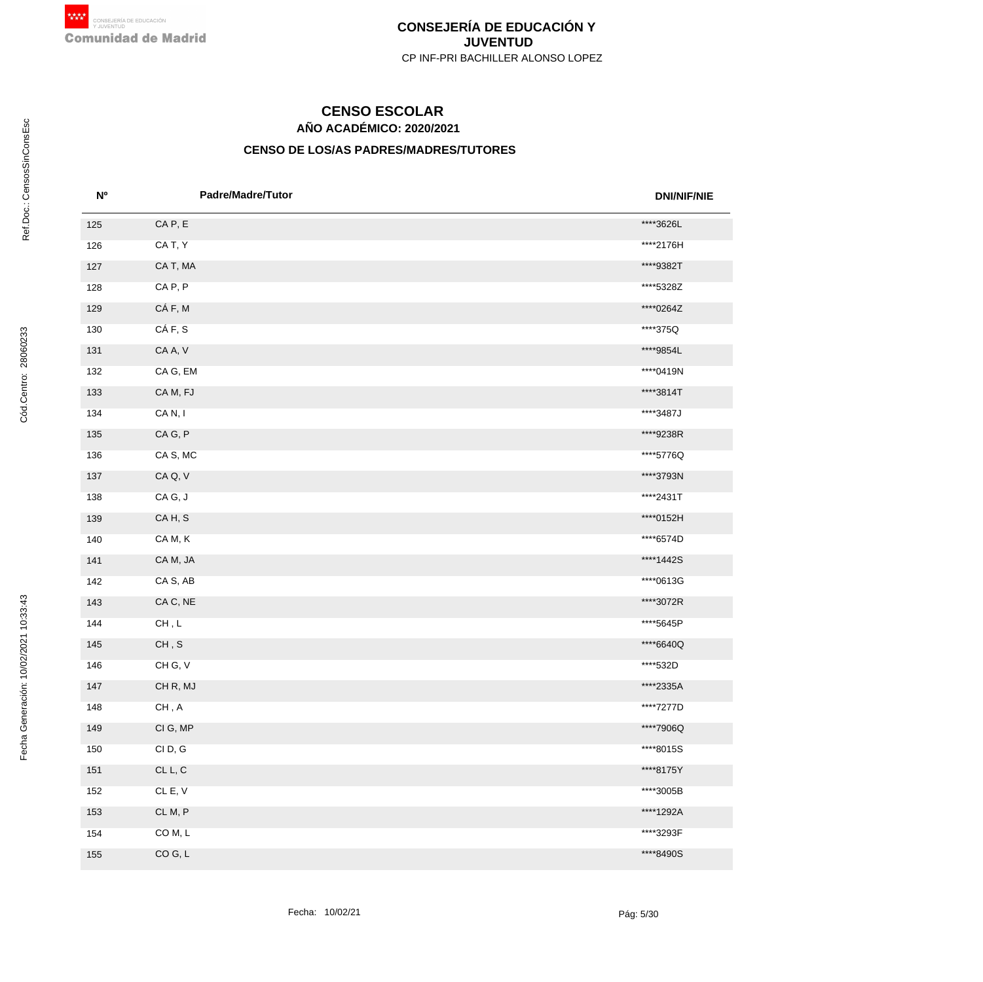# **AÑO ACADÉMICO: 2020/2021 CENSO ESCOLAR**

| N <sub>o</sub> | <b>Padre/Madre/Tutor</b>       | <b>DNI/NIF/NIE</b> |
|----------------|--------------------------------|--------------------|
| 125            | CAP, E                         | ****3626L          |
| 126            | CA T, Y                        | ****2176H          |
| 127            | CA T, MA                       | ****9382T          |
| 128            | CAP, P                         | ****5328Z          |
| 129            | CÁF, M                         | ****0264Z          |
| 130            | CÁF, S                         | ****375Q           |
| 131            | CA A, V                        | ****9854L          |
| 132            | CA G, EM                       | ****0419N          |
| 133            | CAM, FJ                        | ****3814T          |
| 134            | CAN, I                         | ****3487J          |
| 135            | CAG, P                         | ****9238R          |
| 136            | CA S, MC                       | ****5776Q          |
| 137            | CA Q, V                        | ****3793N          |
| 138            | CAG, J                         | ****2431T          |
| 139            | CAH, S                         | ****0152H          |
| 140            | CAM, K                         | ****6574D          |
| 141            | CA M, JA                       | ****1442S          |
| 142            | CA S, AB                       | ****0613G          |
| 143            | CA C, NE                       | ****3072R          |
| 144            | $\mathsf{CH}\, ,\mathsf{L}$    | ****5645P          |
| 145            | $\mathsf{CH}\, ,\, \mathsf{S}$ | ****6640Q          |
| 146            | CH G, V                        | ****532D           |
| 147            | CHR, MJ                        | ****2335A          |
| 148            | CH, A                          | ****7277D          |
| 149            | CI G, MP                       | ****7906Q          |
| 150            | CID, G                         | ****8015S          |
| 151            | CL L, C                        | ****8175Y          |
| 152            | CL E, V                        | ****3005B          |
| 153            | CLM, P                         | ****1292A          |
| 154            | COM, L                         | ****3293F          |
| 155            | CO G, L                        | ****8490S          |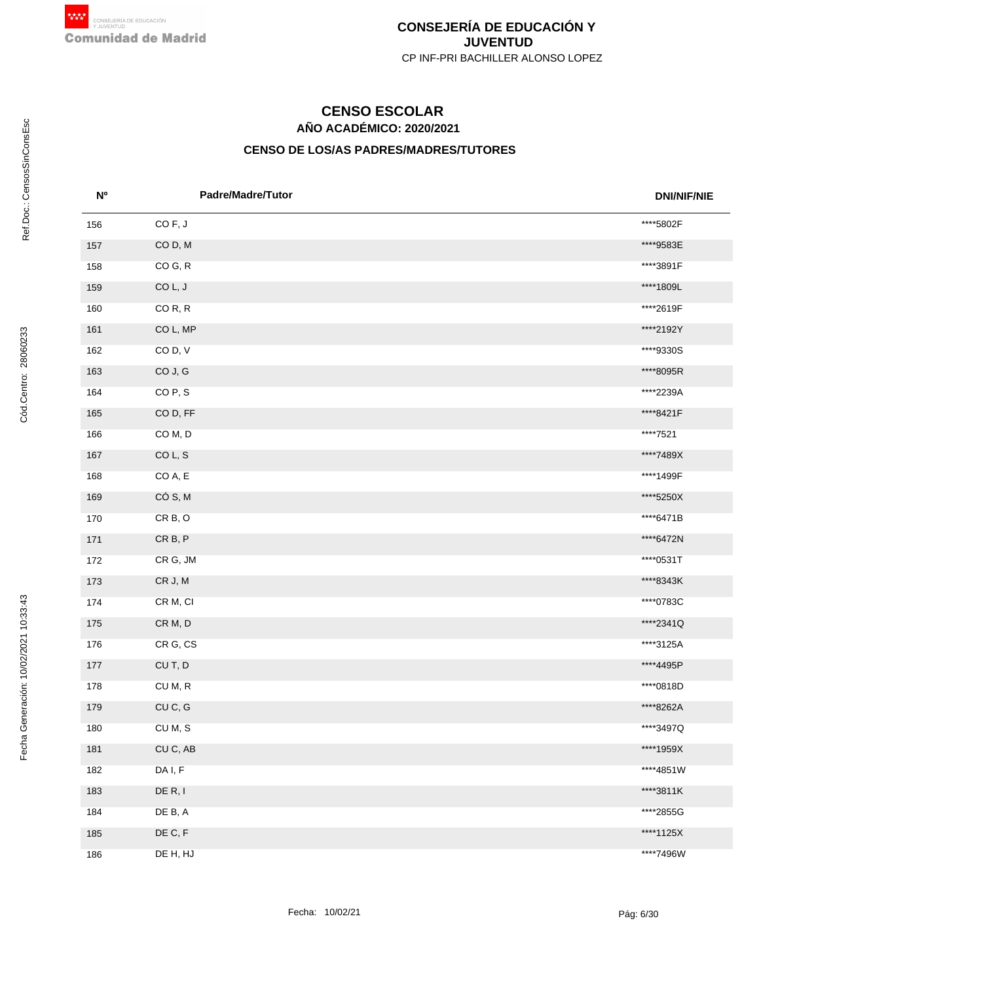# **AÑO ACADÉMICO: 2020/2021 CENSO ESCOLAR**

| <b>N°</b> | <b>Padre/Madre/Tutor</b> | <b>DNI/NIF/NIE</b> |
|-----------|--------------------------|--------------------|
| 156       | COF, J                   | ****5802F          |
| 157       | COD, M                   | ****9583E          |
| 158       | CO G, R                  | ****3891F          |
| 159       | COL, J                   | ****1809L          |
| 160       | COR, R                   | ****2619F          |
| 161       | CO L, MP                 | ****2192Y          |
| 162       | COD, V                   | ****9330S          |
| 163       | CO J, G                  | ****8095R          |
| 164       | CO <sub>P</sub> , S      | ****2239A          |
| 165       | COD, FF                  | ****8421F          |
| 166       | COM, D                   | ****7521           |
| 167       | COL, S                   | ****7489X          |
| 168       | CO A, E                  | ****1499F          |
| 169       | CÓ S, M                  | ****5250X          |
| 170       | CRB, O                   | ****6471B          |
| 171       | CR B, P                  | ****6472N          |
| 172       | CR G, JM                 | ****0531T          |
| 173       | CR J, M                  | ****8343K          |
| 174       | CR M, CI                 | ****0783C          |
| 175       | CR M, D                  | ****2341Q          |
| 176       | CR G, CS                 | ****3125A          |
| 177       | CUT, D                   | ****4495P          |
| 178       | CU M, R                  | ****0818D          |
| 179       | CUC, G                   | ****8262A          |
| 180       | CUM, S                   | ****3497Q          |
| 181       | CU C, AB                 | ****1959X          |
| 182       | DA I, F                  | ****4851W          |
| 183       | DE R, I                  | ****3811K          |
| 184       | DE B, A                  | ****2855G          |
| 185       | DE C, F                  | ****1125X          |
| 186       | DE H, HJ                 | ****7496W          |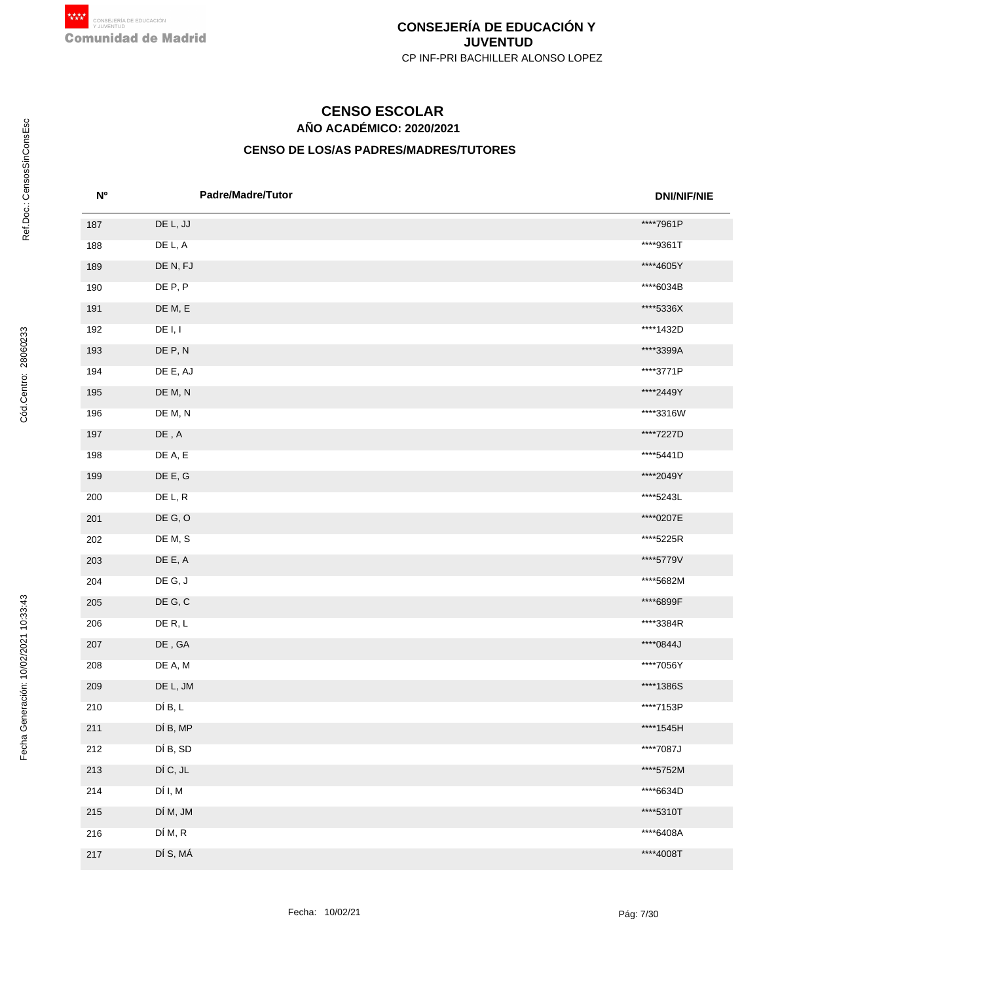# **AÑO ACADÉMICO: 2020/2021 CENSO ESCOLAR**

| N <sub>o</sub> | Padre/Madre/Tutor                           | <b>DNI/NIF/NIE</b> |
|----------------|---------------------------------------------|--------------------|
| 187            | DE L, JJ                                    | ****7961P          |
| 188            | DE L, A                                     | ****9361T          |
| 189            | DE N, FJ                                    | ****4605Y          |
| 190            | DE P, P                                     | ****6034B          |
| 191            | DE M, E                                     | ****5336X          |
| 192            | DE I, I                                     | ****1432D          |
| 193            | DE P, N                                     | ****3399A          |
| 194            | DE E, AJ                                    | ****3771P          |
| 195            | DE M, N                                     | ****2449Y          |
| 196            | DE M, N                                     | ****3316W          |
| 197            | $\mathsf{DE}\xspace$ , $\mathsf{A}\xspace$  | ****7227D          |
| 198            | DE A, E                                     | ****5441D          |
| 199            | DE E, G                                     | ****2049Y          |
| 200            | DE L, R                                     | ****5243L          |
| 201            | DE G, O                                     | ****0207E          |
| 202            | DE M, S                                     | ****5225R          |
| 203            | DE E, A                                     | ****5779V          |
| 204            | DE G, J                                     | ****5682M          |
| 205            | DE G, C                                     | ****6899F          |
| 206            | DE R, L                                     | ****3384R          |
| 207            | $\mathsf{DE}\xspace$ , $\mathsf{GA}\xspace$ | ****0844J          |
| 208            | DE A, M                                     | ****7056Y          |
| 209            | DE L, JM                                    | ****1386S          |
| 210            | DÍ B, L                                     | ****7153P          |
| 211            | DÍ B, MP                                    | ****1545H          |
| 212            | DÍ B, SD                                    | ****7087J          |
| 213            | DÍ C, JL                                    | ****5752M          |
| 214            | DÍ I, M                                     | ****6634D          |
| 215            | DÍ M, JM                                    | ****5310T          |
| 216            | DÍ M, R                                     | ****6408A          |
| 217            | DÍ S, MÁ                                    | ****4008T          |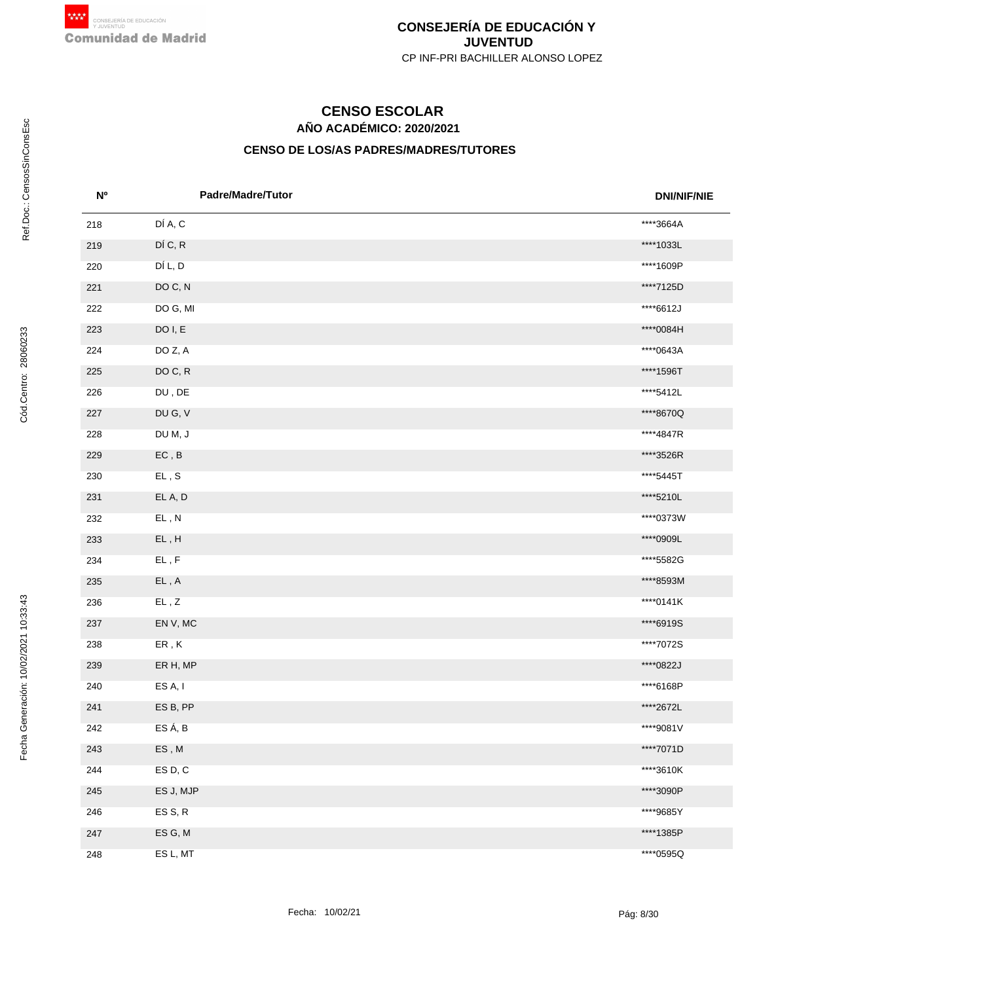# **AÑO ACADÉMICO: 2020/2021 CENSO ESCOLAR**

| N <sub>o</sub> | <b>Padre/Madre/Tutor</b>                   | <b>DNI/NIF/NIE</b> |
|----------------|--------------------------------------------|--------------------|
| 218            | DÍ A, C                                    | ****3664A          |
| 219            | DÍ C, R                                    | ****1033L          |
| 220            | DÍ L, D                                    | ****1609P          |
| 221            | DO C, N                                    | ****7125D          |
| 222            | DO G, MI                                   | ****6612J          |
| 223            | DO I, E                                    | ****0084H          |
| 224            | DO Z, A                                    | ****0643A          |
| 225            | DO C, R                                    | ****1596T          |
| 226            | $\mathsf{DU}$ , $\mathsf{DE}$              | ****5412L          |
| 227            | DU G, V                                    | ****8670Q          |
| 228            | DU M, J                                    | ****4847R          |
| 229            | $\mathsf{EC}$ , $\mathsf{B}$               | ****3526R          |
| 230            | $\mathsf{EL}\, , \, \mathsf{S}$            | ****5445T          |
| 231            | EL A, D                                    | ****5210L          |
| 232            | EL, N                                      | ****0373W          |
| 233            | $\mathsf{EL}$ , $\mathsf{H}$               | ****0909L          |
| 234            | $\mathsf{EL}$ , $\mathsf{F}$               | ****5582G          |
| 235            | $\mathsf{EL}\xspace$ , $\mathsf{A}\xspace$ | ****8593M          |
| 236            | $\mathsf{EL}$ , $\mathsf{Z}$               | ****0141K          |
| 237            | EN V, MC                                   | ****6919S          |
| 238            | ${\sf ER}$ , ${\sf K}$                     | ****7072S          |
| 239            | ER H, MP                                   | ****0822J          |
| 240            | ES A, I                                    | ****6168P          |
| 241            | ESB, PP                                    | ****2672L          |
| 242            | ES Á, B                                    | ****9081V          |
| 243            | ES, M                                      | ****7071D          |
| 244            | ES D, C                                    | ****3610K          |
| 245            | ES J, MJP                                  | ****3090P          |
| 246            | ES S, R                                    | ****9685Y          |
| 247            | ES G, M                                    | ****1385P          |
| 248            | ES L, MT                                   | ****0595Q          |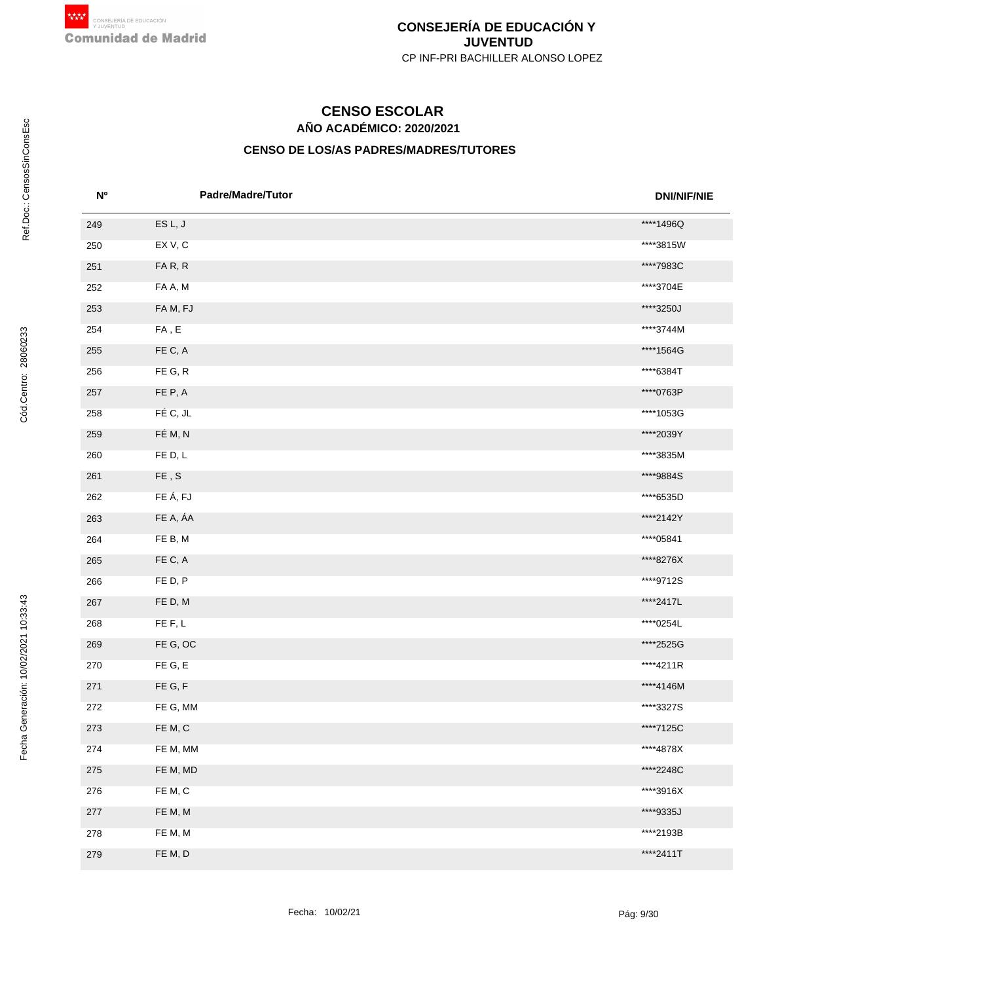# **AÑO ACADÉMICO: 2020/2021 CENSO ESCOLAR**

| N <sup>o</sup> | <b>Padre/Madre/Tutor</b>     | <b>DNI/NIF/NIE</b> |
|----------------|------------------------------|--------------------|
| 249            | ESL, J                       | ****1496Q          |
| 250            | EXV, C                       | ****3815W          |
| 251            | FAR, R                       | ****7983C          |
| 252            | FA A, M                      | ****3704E          |
| 253            | FAM, FJ                      | ****3250J          |
| 254            | ${\sf FA}$ , ${\sf E}$       | ****3744M          |
| 255            | FE C, A                      | ****1564G          |
| 256            | FE G, R                      | ****6384T          |
| 257            | FE P, A                      | ****0763P          |
| 258            | FÉ C, JL                     | ****1053G          |
| 259            | FÉ M, N                      | ****2039Y          |
| 260            | FED, L                       | ****3835M          |
| 261            | $\mathsf{FE}$ , $\mathsf{S}$ | ****9884S          |
| 262            | FE Á, FJ                     | ****6535D          |
| 263            | FE A, ÁA                     | ****2142Y          |
| 264            | FE B, M                      | ****05841          |
| 265            | FE C, A                      | ****8276X          |
| 266            | FED, P                       | ****9712S          |
| 267            | FE D, M                      | ****2417L          |
| 268            | FE F, L                      | ****0254L          |
| 269            | FE G, OC                     | ****2525G          |
| 270            | FE G, E                      | ****4211R          |
| 271            | FE G, F                      | ****4146M          |
| 272            | FE G, MM                     | ****3327S          |
| 273            | FE M, C                      | ****7125C          |
| 274            | FE M, MM                     | ****4878X          |
| 275            | FE M, MD                     | ****2248C          |
| 276            | FE M, C                      | ****3916X          |
| 277            | FE M, M                      | ****9335J          |
| 278            | FE M, M                      | ****2193B          |
| 279            | FE M, D                      | ****2411T          |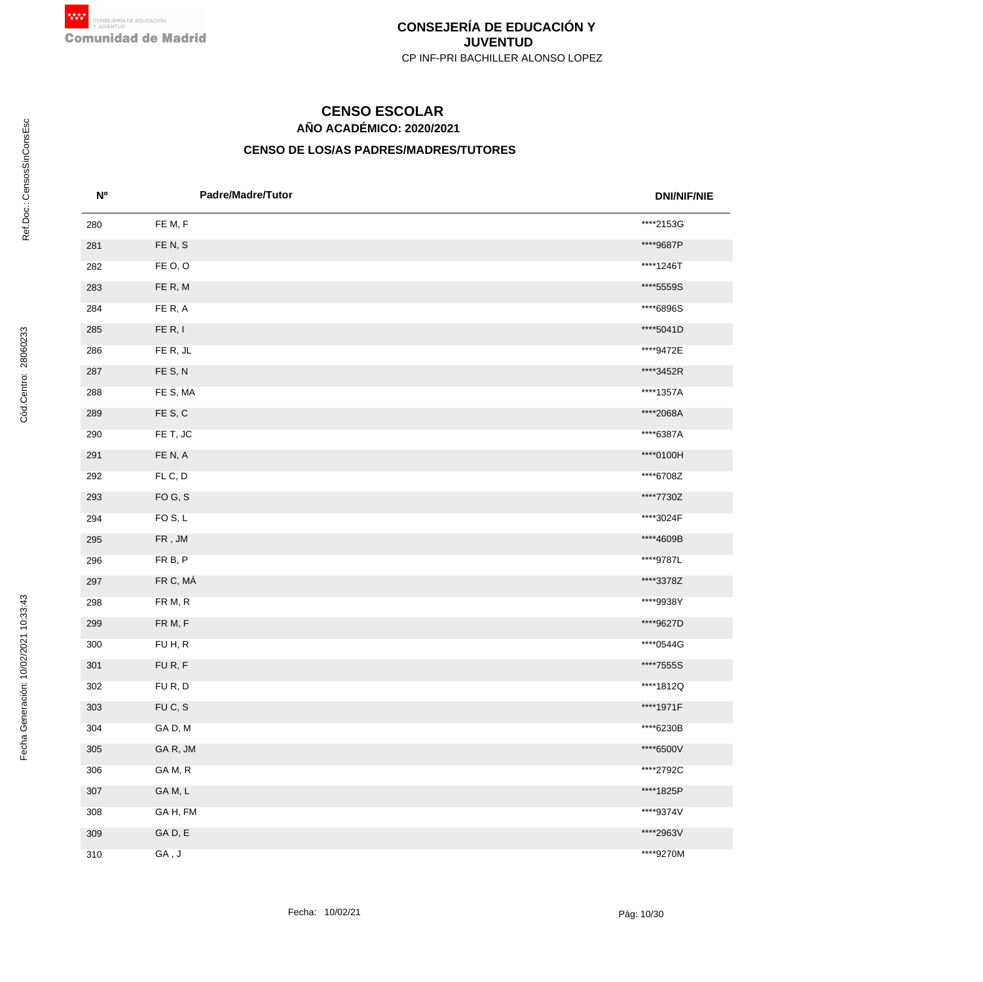# **AÑO ACADÉMICO: 2020/2021 CENSO ESCOLAR**

| N <sup>o</sup> | <b>Padre/Madre/Tutor</b> | <b>DNI/NIF/NIE</b> |
|----------------|--------------------------|--------------------|
| 280            | FE M, F                  | ****2153G          |
| 281            | FEN, S                   | ****9687P          |
| 282            | FE O, O                  | ****1246T          |
| 283            | FE R, M                  | ****5559S          |
| 284            | FE R, A                  | ****6896S          |
| 285            | FE R, I                  | ****5041D          |
| 286            | FE R, JL                 | ****9472E          |
| 287            | FE S, N                  | ****3452R          |
| 288            | FE S, MA                 | ****1357A          |
| 289            | FE S, C                  | ****2068A          |
| 290            | FE T, JC                 | ****6387A          |
| 291            | FEN, A                   | ****0100H          |
| 292            | FLC, D                   | ****6708Z          |
| 293            | FOG, S                   | ****7730Z          |
| 294            | FO <sub>S</sub> , L      | ****3024F          |
| 295            | ${\sf FR}$ , ${\sf JM}$  | ****4609B          |
| 296            | FR B, P                  | ****9787L          |
| 297            | FR C, MÁ                 | ****3378Z          |
| 298            | FR M, R                  | ****9938Y          |
| 299            | FR M, F                  | ****9627D          |
| 300            | FUH, R                   | ****0544G          |
| 301            | FUR, F                   | ****7555S          |
| 302            | FUR, D                   | ****1812Q          |
| 303            | FUC, S                   | ****1971F          |
| 304            | GAD, M                   | ****6230B          |
| 305            | GAR, JM                  | ****6500V          |
| 306            | GAM, R                   | ****2792C          |
| 307            | GAM, L                   | ****1825P          |
| 308            | GAH, FM                  | ****9374V          |
| 309            | GAD, E                   | ****2963V          |
| 310            | GA, J                    | ****9270M          |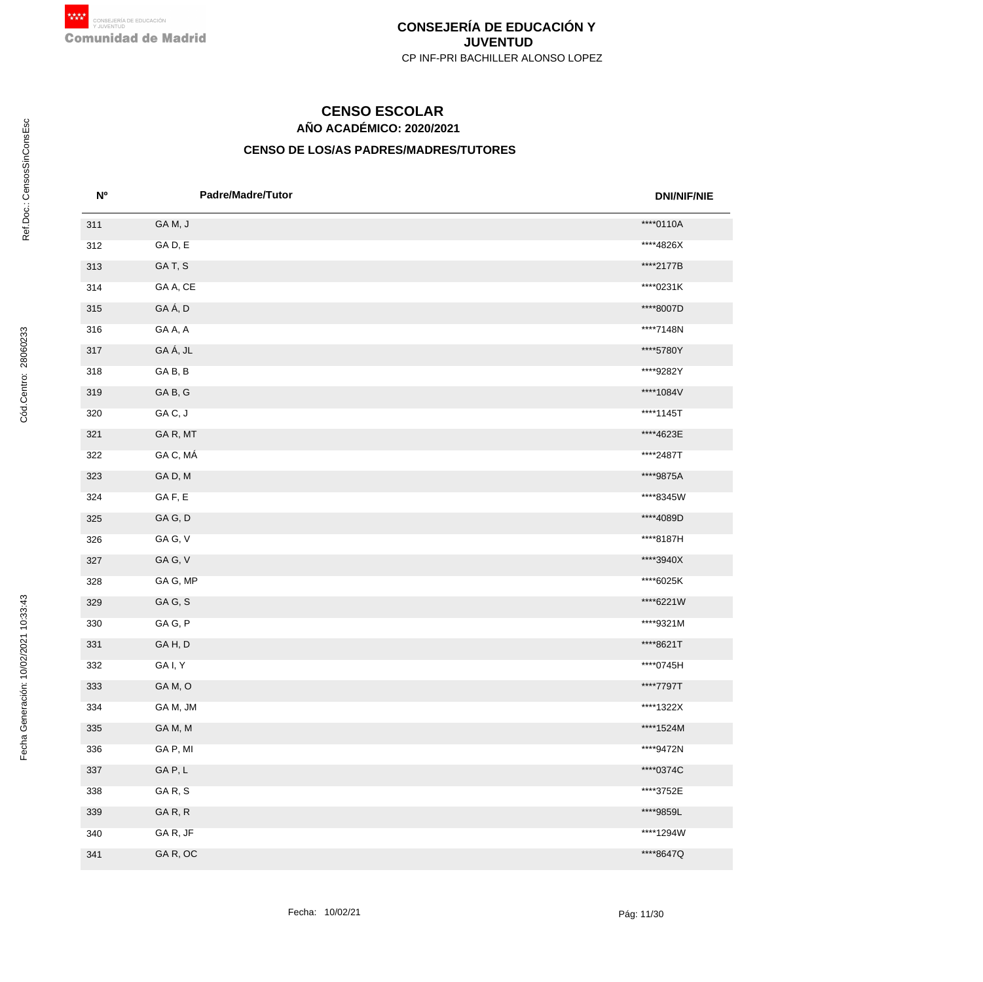# **AÑO ACADÉMICO: 2020/2021 CENSO ESCOLAR**

| <b>No</b> | Padre/Madre/Tutor | <b>DNI/NIF/NIE</b> |
|-----------|-------------------|--------------------|
| 311       | GAM, J            | ****0110A          |
| 312       | GAD, E            | ****4826X          |
| 313       | GAT, S            | ****2177B          |
| 314       | GA A, CE          | ****0231K          |
| 315       | GAÁ, D            | ****8007D          |
| 316       | GA A, A           | ****7148N          |
| 317       | GA Á, JL          | ****5780Y          |
| 318       | GAB, B            | ****9282Y          |
| 319       | GAB, G            | ****1084V          |
| 320       | GAC, J            | ****1145T          |
| 321       | GAR, MT           | ****4623E          |
| 322       | GA C, MÁ          | ****2487T          |
| 323       | GAD, M            | ****9875A          |
| 324       | GAF, E            | ****8345W          |
| 325       | GAG, D            | ****4089D          |
| 326       | GA G, V           | ****8187H          |
| 327       | GAG, V            | ****3940X          |
| 328       | GA G, MP          | ****6025K          |
| 329       | GAG, S            | ****6221W          |
| 330       | GAG, P            | ****9321M          |
| 331       | GAH, D            | ****8621T          |
| 332       | GA I, Y           | ****0745H          |
| 333       | GAM, O            | ****7797T          |
| 334       | GAM, JM           | ****1322X          |
| 335       | GAM, M            | ****1524M          |
| 336       | GA P, MI          | ****9472N          |
| 337       | GAP, L            | ****0374C          |
| 338       | GAR, S            | ****3752E          |
| 339       | GAR, R            | ****9859L          |
| 340       | GAR, JF           | ****1294W          |
| 341       | GAR, OC           | ****8647Q          |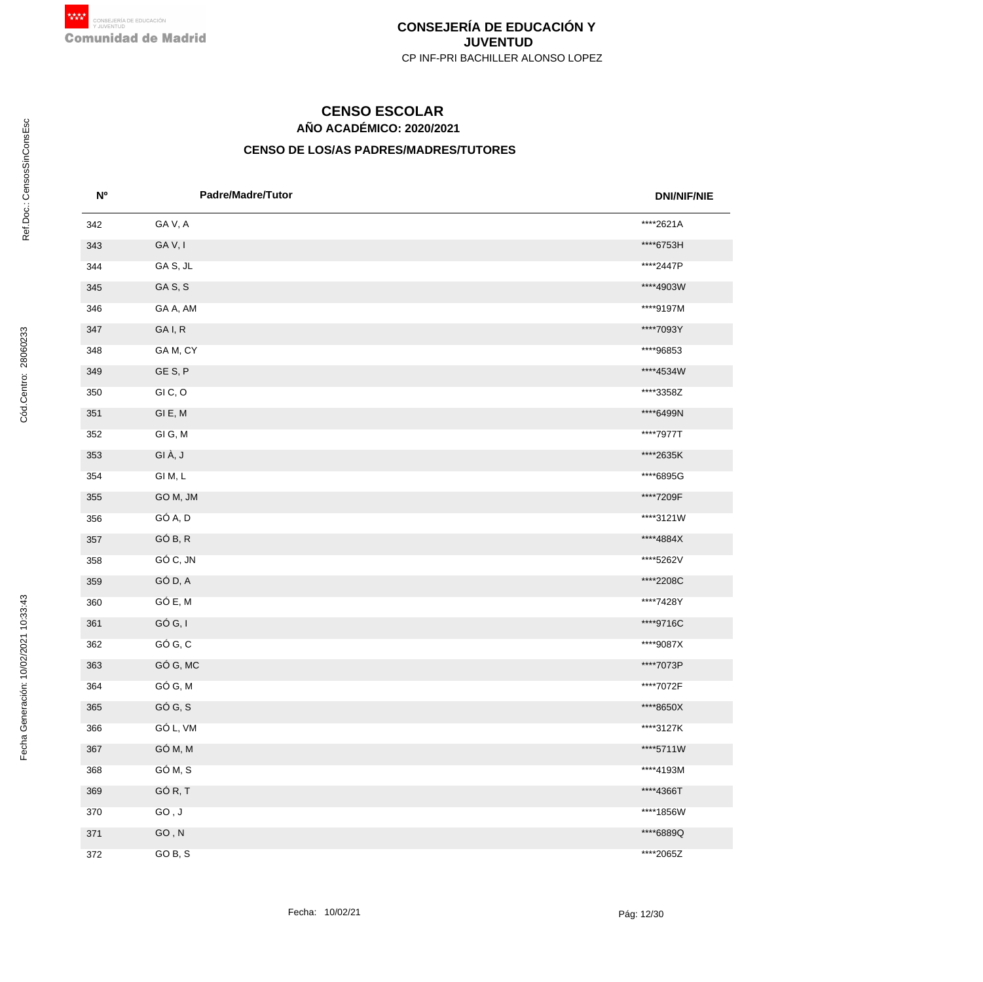# **AÑO ACADÉMICO: 2020/2021 CENSO ESCOLAR**

| N <sup>o</sup> | <b>Padre/Madre/Tutor</b> | <b>DNI/NIF/NIE</b> |
|----------------|--------------------------|--------------------|
| 342            | GAV, A                   | ****2621A          |
| 343            | GAV, I                   | ****6753H          |
| 344            | GAS, JL                  | ****2447P          |
| 345            | GAS, S                   | ****4903W          |
| 346            | GA A, AM                 | ****9197M          |
| 347            | GA I, R                  | ****7093Y          |
| 348            | GAM, CY                  | ****96853          |
| 349            | GES, P                   | ****4534W          |
| 350            | GIC, O                   | ****3358Z          |
| 351            | GIE, M                   | ****6499N          |
| 352            | GIG, M                   | ****7977T          |
| 353            | GIÀ, J                   | ****2635K          |
| 354            | GI M, L                  | ****6895G          |
| 355            | GO M, JM                 | ****7209F          |
| 356            | GÓ A, D                  | ****3121W          |
| 357            | GÓ B, R                  | ****4884X          |
| 358            | GÓ C, JN                 | ****5262V          |
| 359            | GÓ D, A                  | ****2208C          |
| 360            | GÓ E, M                  | ****7428Y          |
| 361            | GÓ G, I                  | ****9716C          |
| 362            | GÓ G, C                  | ****9087X          |
| 363            | GÓ G, MC                 | ****7073P          |
| 364            | GÓ G, M                  | ****7072F          |
| 365            | GÓ G, S                  | ****8650X          |
| 366            | GÓ L, VM                 | ****3127K          |
| 367            | GÓ M, M                  | ****5711W          |
| 368            | GÓ M, S                  | ****4193M          |
| 369            | GÓR, T                   | ****4366T          |
| 370            | GO, J                    | ****1856W          |
| 371            | $GO, N$                  | ****6889Q          |
| 372            | GO B, S                  | ****2065Z          |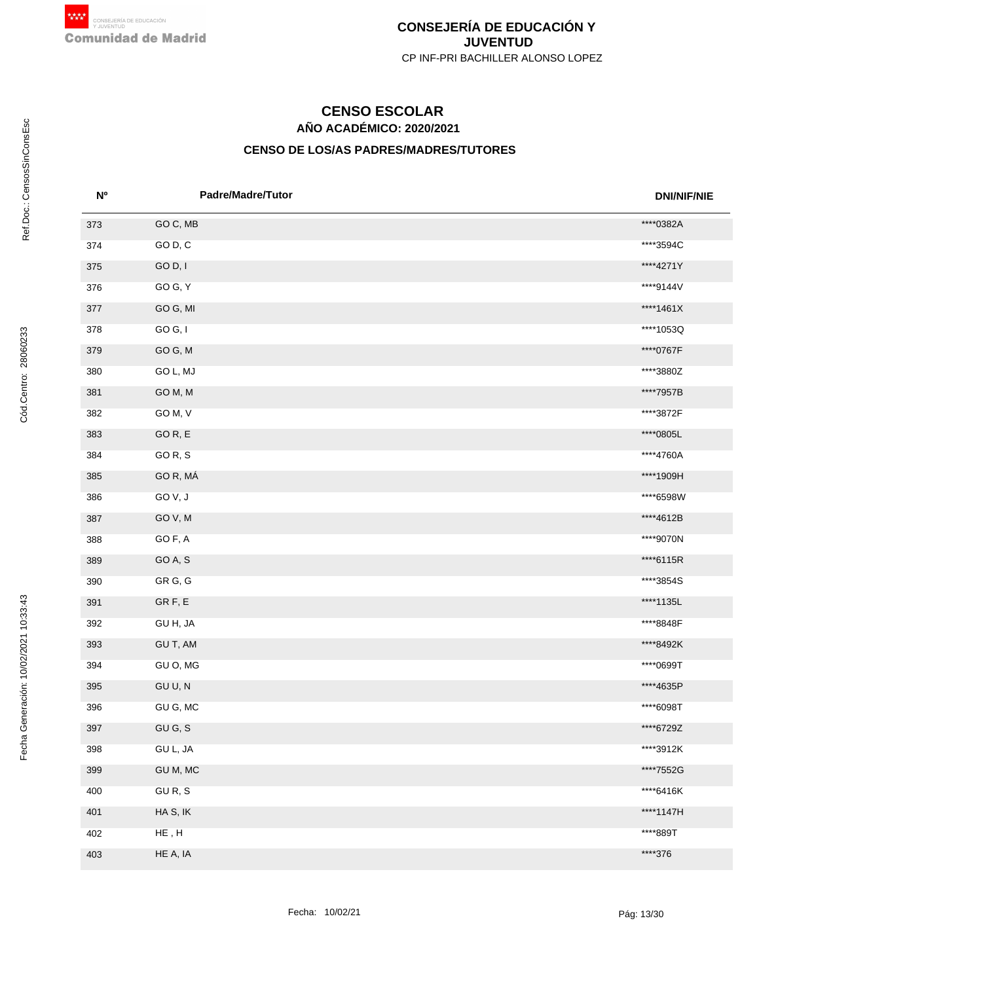# **AÑO ACADÉMICO: 2020/2021 CENSO ESCOLAR**

| <b>N°</b> | <b>Padre/Madre/Tutor</b> | <b>DNI/NIF/NIE</b> |
|-----------|--------------------------|--------------------|
| 373       | GO C, MB                 | ****0382A          |
| 374       | GO D, C                  | ****3594C          |
| 375       | GO D, I                  | ****4271Y          |
| 376       | GO G, Y                  | ****9144V          |
| 377       | GO G, MI                 | ****1461X          |
| 378       | GO G, I                  | ****1053Q          |
| 379       | GOG, M                   | ****0767F          |
| 380       | GO L, MJ                 | ****3880Z          |
| 381       | GO M, M                  | ****7957B          |
| 382       | GO M, V                  | ****3872F          |
| 383       | GOR, E                   | ****0805L          |
| 384       | GOR, S                   | ****4760A          |
| 385       | GO R, MÁ                 | ****1909H          |
| 386       | GOV, J                   | ****6598W          |
| 387       | GOV, M                   | ****4612B          |
| 388       | GO F, A                  | ****9070N          |
| 389       | GO A, S                  | ****6115R          |
| 390       | GR G, G                  | ****3854S          |
| 391       | GRF, E                   | ****1135L          |
| 392       | GU H, JA                 | ****8848F          |
| 393       | GU T, AM                 | ****8492K          |
| 394       | GU O, MG                 | ****0699T          |
| 395       | GU U, N                  | ****4635P          |
| 396       | GU G, MC                 | ****6098T          |
| 397       | GU G, S                  | ****6729Z          |
| 398       | GU L, JA                 | ****3912K          |
| 399       | GU M, MC                 | ****7552G          |
| 400       | GUR, S                   | ****6416K          |
| 401       | HA S, IK                 | ****1147H          |
| 402       | ${\sf HE}$ , ${\sf H}$   | ****889T           |
| 403       | HE A, IA                 | ****376            |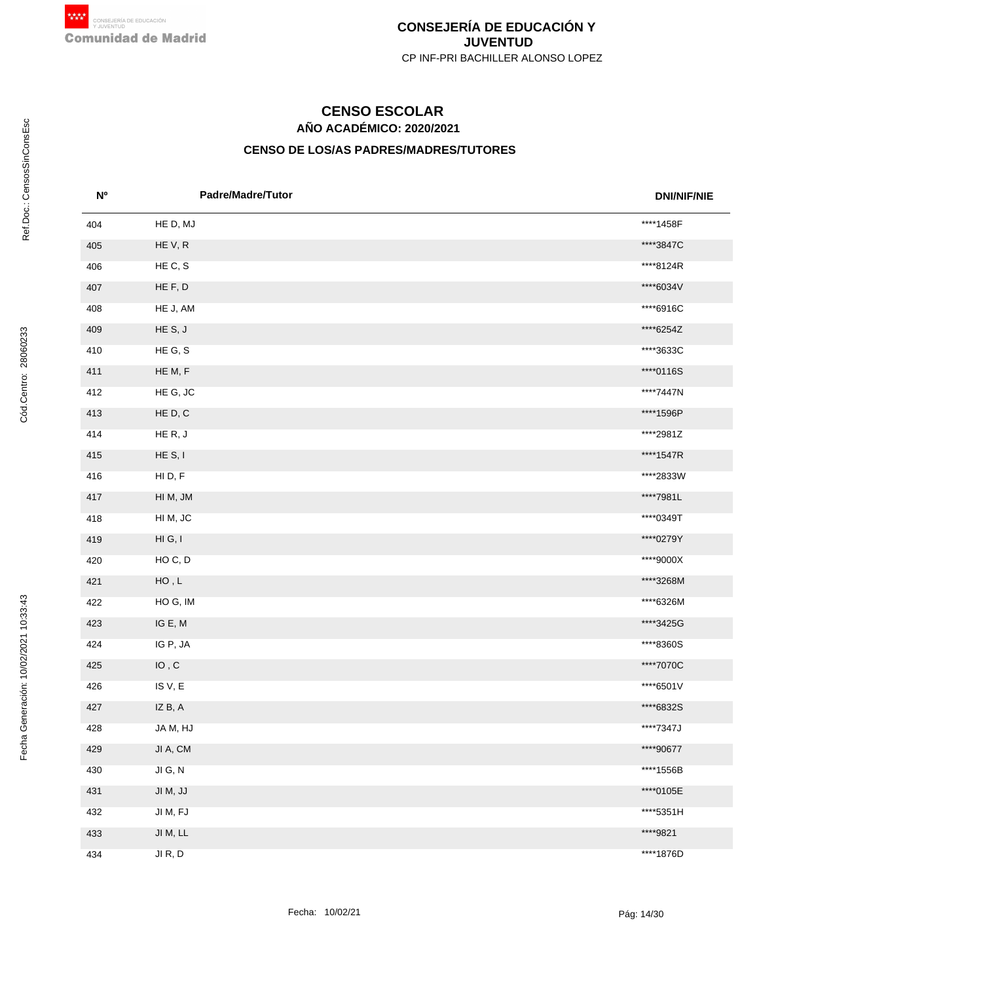# **AÑO ACADÉMICO: 2020/2021 CENSO ESCOLAR**

| <b>No</b> | <b>Padre/Madre/Tutor</b>     | <b>DNI/NIF/NIE</b> |
|-----------|------------------------------|--------------------|
| 404       | HE D, MJ                     | ****1458F          |
| 405       | HEV, R                       | ****3847C          |
| 406       | HE C, S                      | ****8124R          |
| 407       | HE F, D                      | ****6034V          |
| 408       | HE J, AM                     | ****6916C          |
| 409       | HES, J                       | ****6254Z          |
| 410       | HE G, S                      | ****3633C          |
| 411       | HE M, F                      | ****0116S          |
| 412       | HE G, JC                     | ****7447N          |
| 413       | HE D, C                      | ****1596P          |
| 414       | HER, J                       | ****2981Z          |
| 415       | HE S, I                      | ****1547R          |
| 416       | HID, F                       | ****2833W          |
| 417       | HI M, JM                     | ****7981L          |
| 418       | HI M, JC                     | ****0349T          |
| 419       | HI G, I                      | ****0279Y          |
| 420       | HOC, D                       | ****9000X          |
| 421       | ${\sf HO}$ , ${\sf L}$       | ****3268M          |
| 422       | HOG, IM                      | ****6326M          |
| 423       | IG E, M                      | ****3425G          |
| 424       | IG P, JA                     | ****8360S          |
| 425       | $\mathsf{IO}$ , $\mathsf{C}$ | ****7070C          |
| 426       | ISV, E                       | ****6501V          |
| 427       | IZ B, A                      | ****6832S          |
| 428       | JA M, HJ                     | ****7347J          |
| 429       | JI A, CM                     | ****90677          |
| 430       | JIG, N                       | ****1556B          |
| 431       | JI M, JJ                     | ****0105E          |
| 432       | JI M, FJ                     | ****5351H          |
| 433       | JI $M, LL$                   | ****9821           |
| 434       | JI R, D                      | ****1876D          |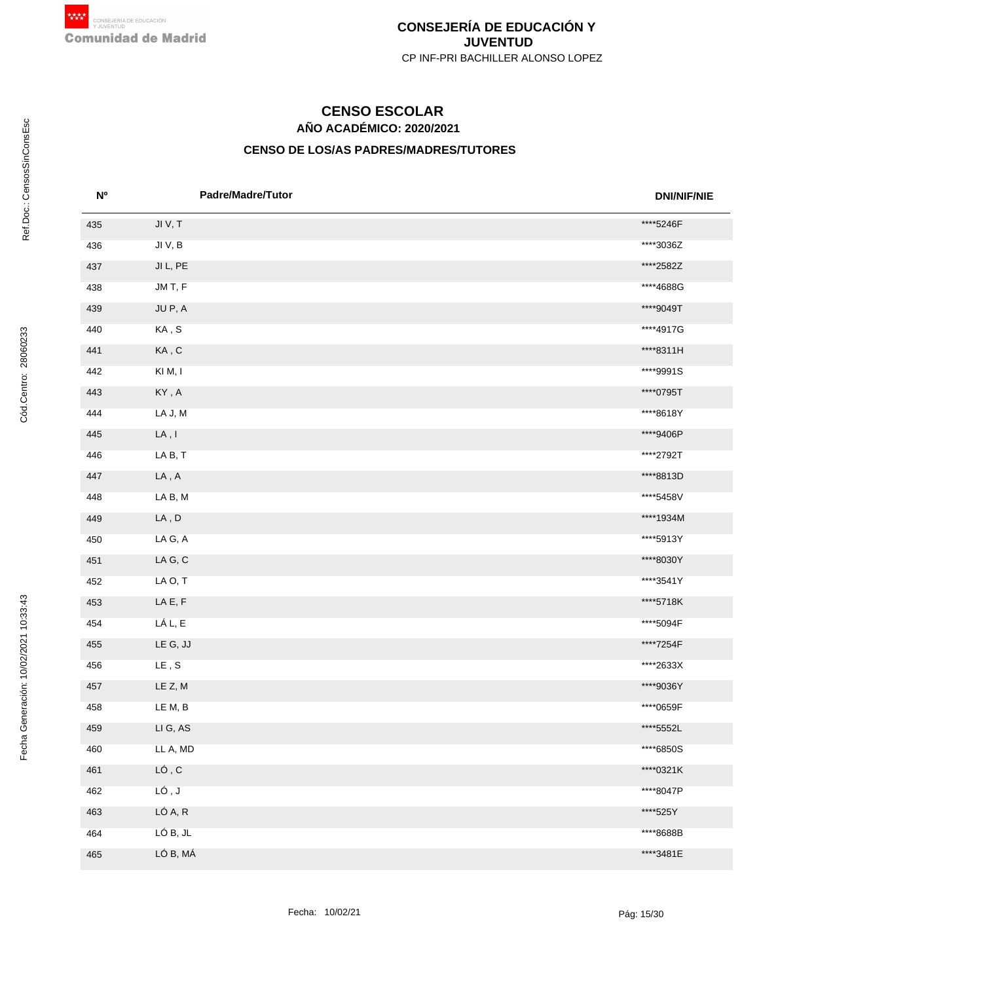# **AÑO ACADÉMICO: 2020/2021 CENSO ESCOLAR**

| N <sup>o</sup> | <b>Padre/Madre/Tutor</b>                   | <b>DNI/NIF/NIE</b> |
|----------------|--------------------------------------------|--------------------|
| 435            | JIV, T                                     | ****5246F          |
| 436            | JI V, B                                    | ****3036Z          |
| 437            | JI L, PE                                   | ****2582Z          |
| 438            | JM T, F                                    | ****4688G          |
| 439            | JU P, A                                    | ****9049T          |
| 440            | KA, S                                      | ****4917G          |
| 441            | KA, C                                      | ****8311H          |
| 442            | KIM, I                                     | ****9991S          |
| 443            | $\mathsf{KY}\xspace$ , $\mathsf{A}\xspace$ | ****0795T          |
| 444            | LA J, M                                    | ****8618Y          |
| 445            | $\mathsf{LA}\xspace$ , $\mathsf{I}\xspace$ | ****9406P          |
| 446            | LAB, T                                     | ****2792T          |
| 447            | $\mathsf{LA}\xspace$ , $\mathsf{A}\xspace$ | ****8813D          |
| 448            | LA B, M                                    | ****5458V          |
| 449            | ${\sf LA}$ , ${\sf D}$                     | ****1934M          |
| 450            | LA G, A                                    | ****5913Y          |
| 451            | $\mathsf{LA} \: \mathsf{G}, \, \mathsf{C}$ | ****8030Y          |
| 452            | LA O, T                                    | ****3541Y          |
| 453            | $\mathsf{LA}\, \mathsf{E},\, \mathsf{F}$   | ****5718K          |
| 454            | LÁ L, E                                    | ****5094F          |
| 455            | LE G, JJ                                   | ****7254F          |
| 456            | $\mathsf{LE}\xspace$ , $\mathsf{S}\xspace$ | ****2633X          |
| 457            | LE Z, M                                    | ****9036Y          |
| 458            | LE M, B                                    | ****0659F          |
| 459            | LI G, AS                                   | ****5552L          |
| 460            | LL A, MD                                   | ****6850S          |
| 461            | LÓ, C                                      | ****0321K          |
| 462            | LÓ, J                                      | ****8047P          |
| 463            | LÓ A, R                                    | ****525Y           |
| 464            | LÓ B, JL                                   | ****8688B          |
| 465            | LÓ B, MÁ                                   | ****3481E          |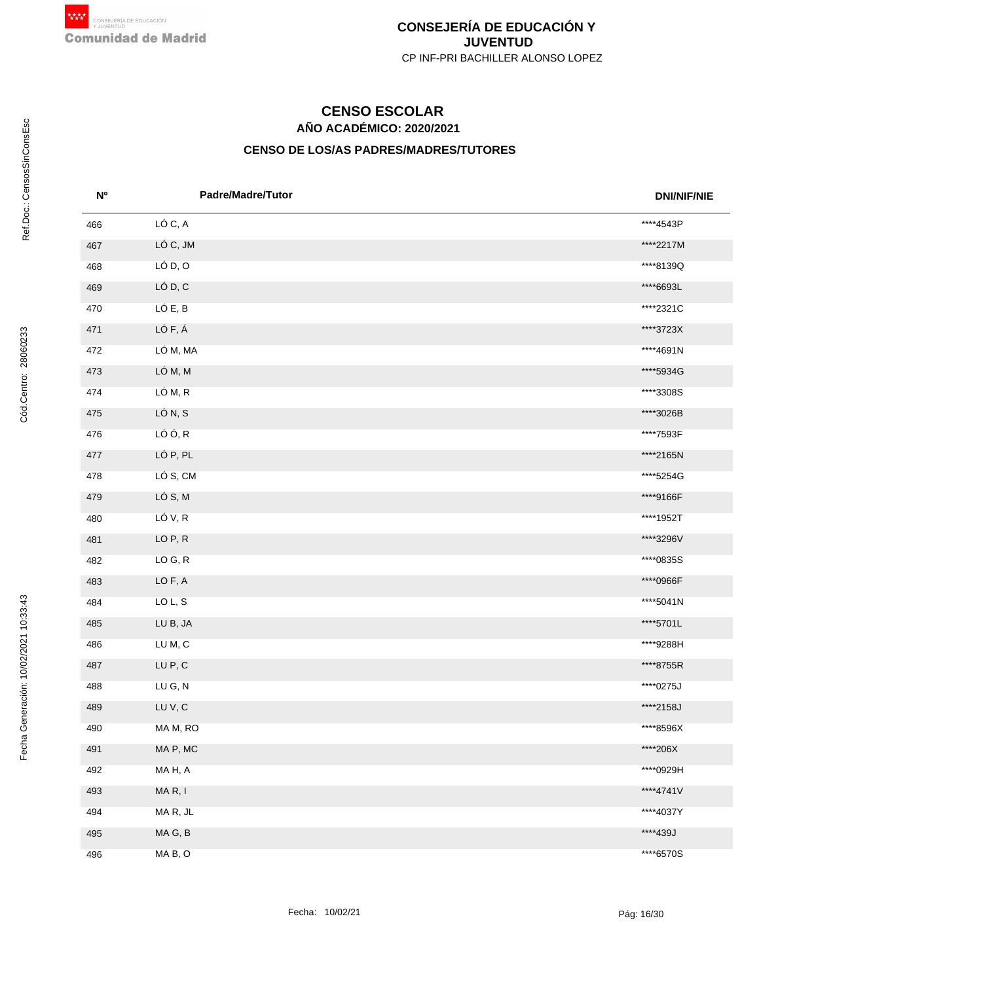# **AÑO ACADÉMICO: 2020/2021 CENSO ESCOLAR**

| <b>N°</b> | <b>Padre/Madre/Tutor</b> | <b>DNI/NIF/NIE</b> |
|-----------|--------------------------|--------------------|
| 466       | LÓ C, A                  | ****4543P          |
| 467       | LÓ C, JM                 | ****2217M          |
| 468       | LÓ D, O                  | ****8139Q          |
| 469       | LÓ D, C                  | ****6693L          |
| 470       | LÓ E, B                  | ****2321C          |
| 471       | LÓ F, Á                  | ****3723X          |
| 472       | LÓ M, MA                 | ****4691N          |
| 473       | LÓ M, M                  | ****5934G          |
| 474       | LÓ M, R                  | ****3308S          |
| 475       | LÓ N, S                  | ****3026B          |
| 476       | LÓ Ó, R                  | ****7593F          |
| 477       | LÓ P, PL                 | ****2165N          |
| 478       | LÓ S, CM                 | ****5254G          |
| 479       | LÓ S, M                  | ****9166F          |
| 480       | LÓ V, R                  | ****1952T          |
| 481       | LOP, R                   | ****3296V          |
| 482       | LO G, R                  | ****0835S          |
| 483       | LO F, A                  | ****0966F          |
| 484       | LO L, S                  | ****5041N          |
| 485       | LU B, JA                 | ****5701L          |
| 486       | LUM, C                   | ****9288H          |
| 487       | LU P, C                  | ****8755R          |
| 488       | LU G, N                  | ****0275J          |
| 489       | LUV, C                   | ****2158J          |
| 490       | MA M, RO                 | ****8596X          |
| 491       | MA P, MC                 | ****206X           |
| 492       | MAH, A                   | ****0929H          |
| 493       | MAR, I                   | ****4741V          |
| 494       | MAR, JL                  | ****4037Y          |
| 495       | MAG, B                   | ****439J           |
| 496       | MAB, O                   | ****6570S          |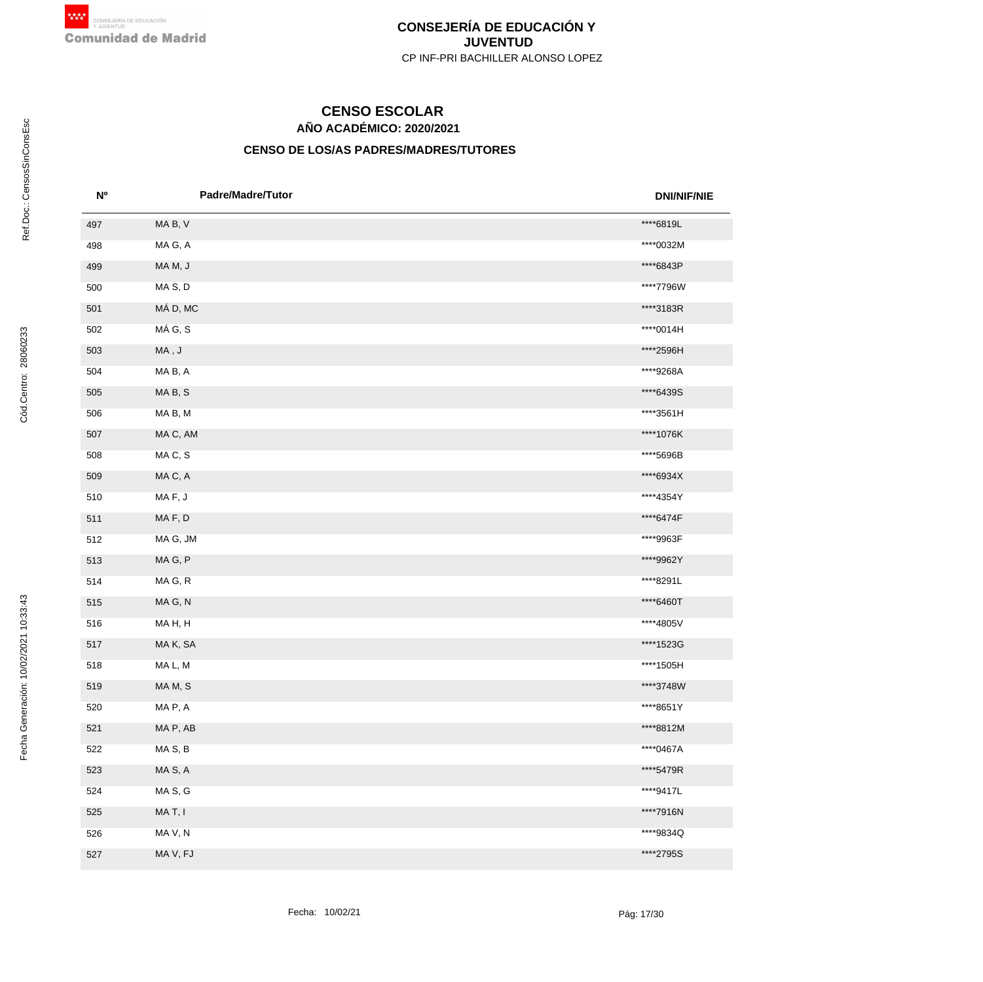# **AÑO ACADÉMICO: 2020/2021 CENSO ESCOLAR**

| N <sub>0</sub> | Padre/Madre/Tutor  | <b>DNI/NIF/NIE</b> |
|----------------|--------------------|--------------------|
| 497            | MAB, V             | ****6819L          |
| 498            | MA G, A            | ****0032M          |
| 499            | MAM, J             | ****6843P          |
| 500            | MAS, D             | ****7796W          |
| 501            | MÁ D, MC           | ****3183R          |
| 502            | MÁ G, S            | ****0014H          |
| 503            | $\sf MA$ , $\sf J$ | ****2596H          |
| 504            | MAB, A             | ****9268A          |
| 505            | MAB, S             | ****6439S          |
| 506            | MAB, M             | ****3561H          |
| 507            | MA C, AM           | ****1076K          |
| 508            | MAC, S             | ****5696B          |
| 509            | MAC, A             | ****6934X          |
| 510            | MAF, J             | ****4354Y          |
| 511            | MAF, D             | ****6474F          |
| 512            | MA G, JM           | ****9963F          |
| 513            | MAG, P             | ****9962Y          |
| 514            | MAG, R             | ****8291L          |
| 515            | MAG, N             | ****6460T          |
| 516            | MAH, H             | ****4805V          |
| 517            | MAK, SA            | ****1523G          |
| 518            | MA L, M            | ****1505H          |
| 519            | MAM, S             | ****3748W          |
| 520            | MAP, A             | ****8651Y          |
| 521            | MA P, AB           | ****8812M          |
| 522            | MAS, B             | ****0467A          |
| 523            | MA S, A            | ****5479R          |
| 524            | MA S, G            | ****9417L          |
| 525            | MAT, I             | ****7916N          |
| 526            | MA V, N            | ****9834Q          |
| 527            | MA V, FJ           | ****2795S          |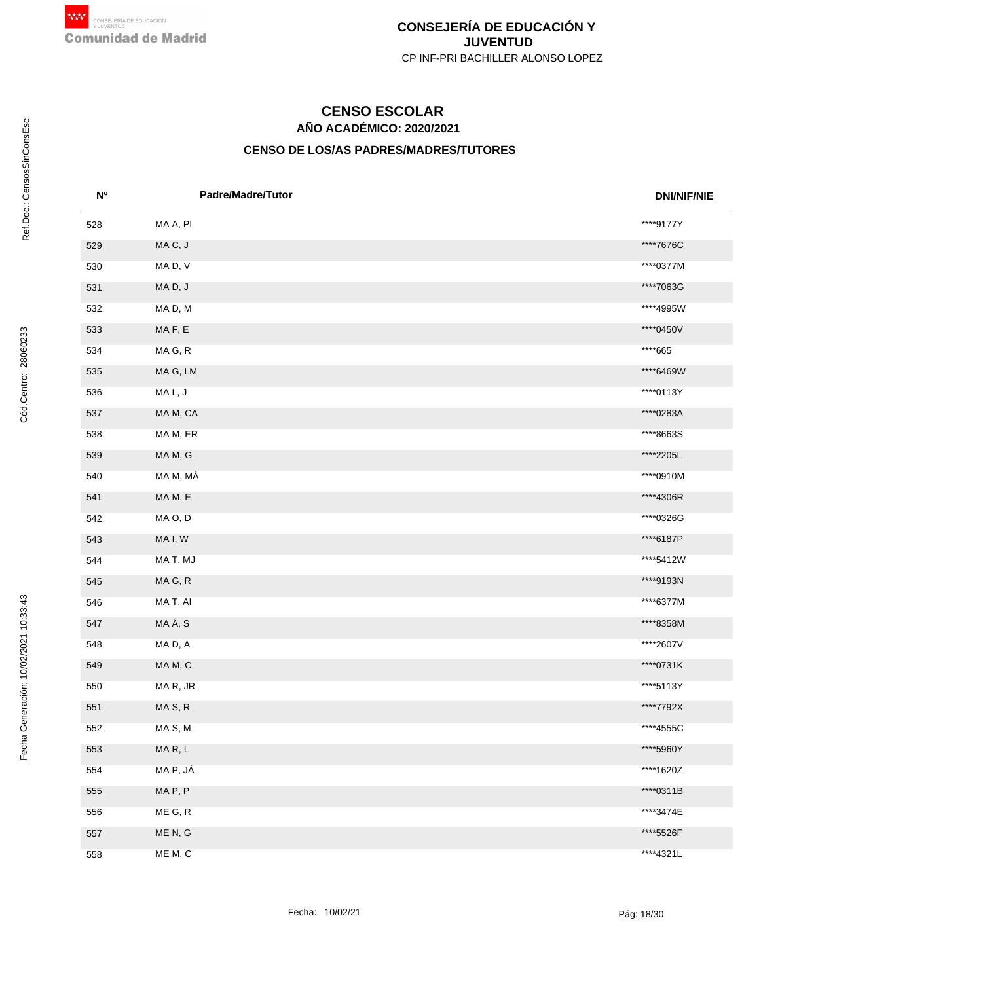# **AÑO ACADÉMICO: 2020/2021 CENSO ESCOLAR**

| <b>N°</b> | <b>Padre/Madre/Tutor</b> | <b>DNI/NIF/NIE</b> |
|-----------|--------------------------|--------------------|
| 528       | MA A, PI                 | ****9177Y          |
| 529       | MAC, J                   | ****7676C          |
| 530       | MAD, V                   | ****0377M          |
| 531       | MAD, J                   | ****7063G          |
| 532       | MAD, M                   | ****4995W          |
| 533       | MAF, E                   | ****0450V          |
| 534       | MA G, R                  | ****665            |
| 535       | MA G, LM                 | ****6469W          |
| 536       | MA L, J                  | ****0113Y          |
| 537       | MA M, CA                 | ****0283A          |
| 538       | MA M, ER                 | ****8663S          |
| 539       | MA M, G                  | ****2205L          |
| 540       | MA M, MÁ                 | ****0910M          |
| 541       | MAM, E                   | ****4306R          |
| 542       | MA O, D                  | ****0326G          |
| 543       | MA I, W                  | ****6187P          |
| 544       | MA T, MJ                 | ****5412W          |
| 545       | MAG, R                   | ****9193N          |
| 546       | MA T, AI                 | ****6377M          |
| 547       | MAÁ, S                   | ****8358M          |
| 548       | MAD, A                   | ****2607V          |
| 549       | MAM, C                   | ****0731K          |
| 550       | MAR, JR                  | ****5113Y          |
| 551       | MAS, R                   | ****7792X          |
| 552       | MAS, M                   | ****4555C          |
| 553       | MAR, L                   | ****5960Y          |
| 554       | MA P, JÁ                 | ****1620Z          |
| 555       | MAP, P                   | ****0311B          |
| 556       | ME G, R                  | ****3474E          |
| 557       | ME N, G                  | ****5526F          |
| 558       | ME M, C                  | ****4321L          |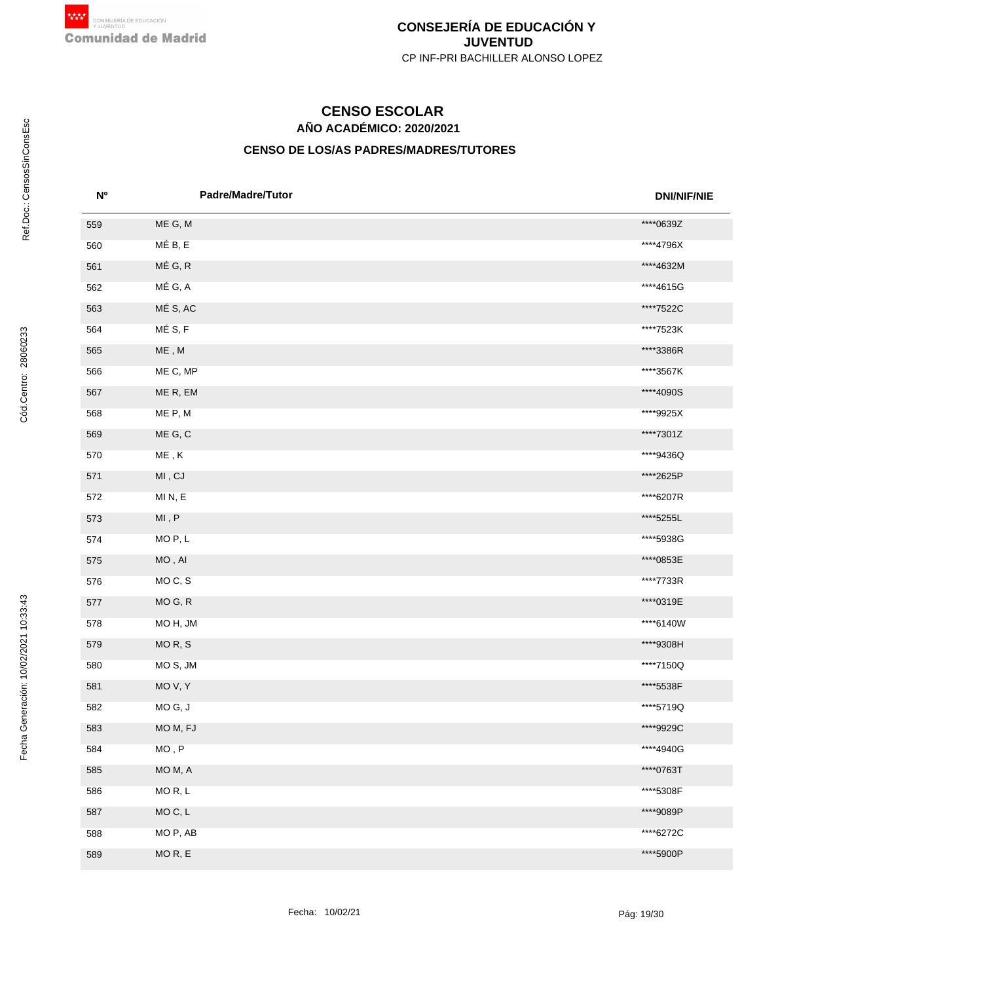# **AÑO ACADÉMICO: 2020/2021 CENSO ESCOLAR**

| <b>N°</b> | <b>Padre/Madre/Tutor</b>      | <b>DNI/NIF/NIE</b> |
|-----------|-------------------------------|--------------------|
| 559       | ME G, M                       | ****0639Z          |
| 560       | MÉ B, E                       | ****4796X          |
| 561       | MÉ G, R                       | ****4632M          |
| 562       | MÉ G, A                       | ****4615G          |
| 563       | MÉ S, AC                      | ****7522C          |
| 564       | MÉS, F                        | ****7523K          |
| 565       | $ME$ , $M$                    | ****3386R          |
| 566       | ME C, MP                      | ****3567K          |
| 567       | ME R, EM                      | ****4090S          |
| 568       | ME P, M                       | ****9925X          |
| 569       | ME G, C                       | ****7301Z          |
| 570       | $\sf ME$ , $\sf K$            | ****9436Q          |
| 571       | $\mathsf{MI}$ , $\mathsf{CJ}$ | ****2625P          |
| 572       | MIN, E                        | ****6207R          |
| 573       | $\mathsf{MI}$ , $\mathsf{P}$  | ****5255L          |
| 574       | MO <sub>P</sub> , L           | ****5938G          |
| 575       | $MO$ , $Al$                   | ****0853E          |
| 576       | MOC, S                        | ****7733R          |
| 577       | MO G, R                       | ****0319E          |
| 578       | MOH, JM                       | ****6140W          |
| 579       | MOR, S                        | ****9308H          |
| 580       | MO S, JM                      | ****7150Q          |
| 581       | MO V, Y                       | ****5538F          |
| 582       | MOG, J                        | ****5719Q          |
| 583       | MO M, FJ                      | ****9929C          |
| 584       | $MO$ , $\sf P$                | ****4940G          |
| 585       | MO M, A                       | ****0763T          |
| 586       | MOR, L                        | ****5308F          |
| 587       | MOC, L                        | ****9089P          |
| 588       | MO P, AB                      | ****6272C          |
| 589       | MO R, E                       | ****5900P          |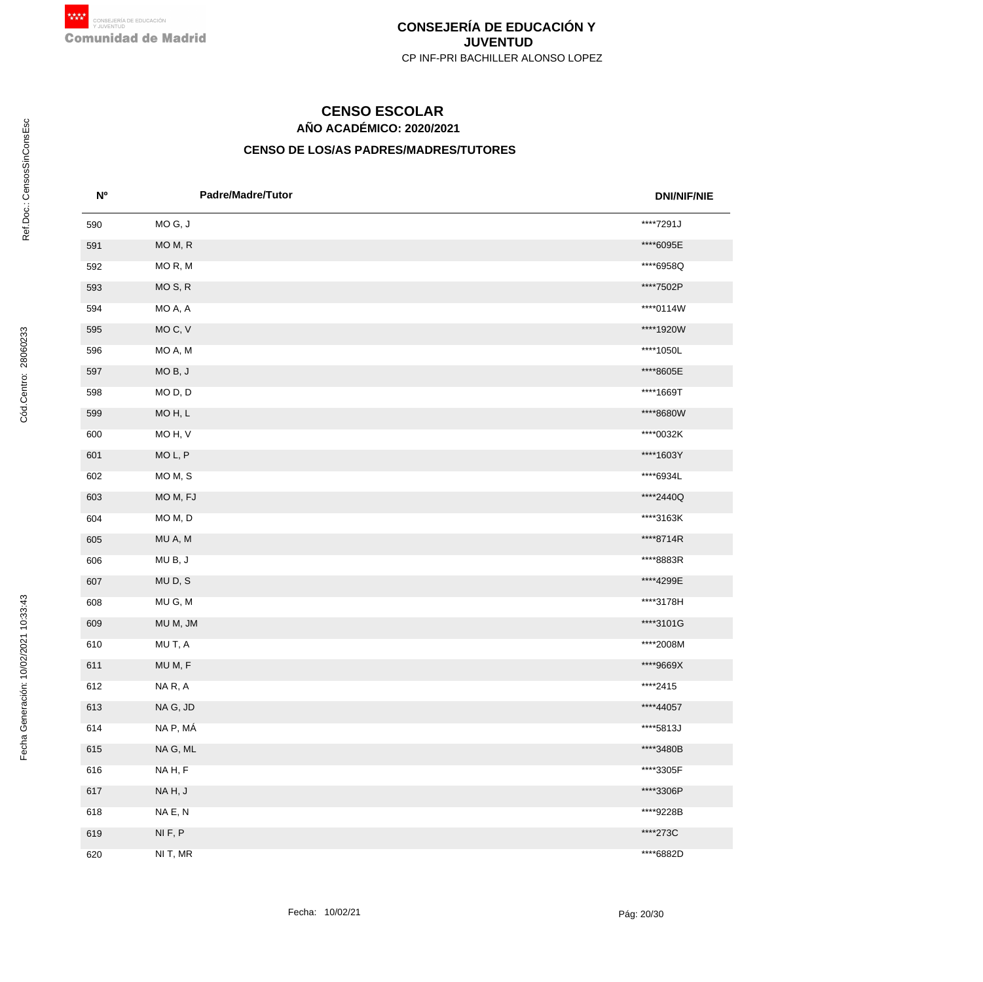# **AÑO ACADÉMICO: 2020/2021 CENSO ESCOLAR**

| <b>N°</b> | <b>Padre/Madre/Tutor</b> | <b>DNI/NIF/NIE</b> |
|-----------|--------------------------|--------------------|
| 590       | MOG, J                   | ****7291J          |
| 591       | MO M, R                  | ****6095E          |
| 592       | MOR, M                   | ****6958Q          |
| 593       | MO <sub>S</sub> , R      | ****7502P          |
| 594       | MO A, A                  | ****0114W          |
| 595       | MO C, V                  | ****1920W          |
| 596       | MO A, M                  | ****1050L          |
| 597       | MOB, J                   | ****8605E          |
| 598       | MO <sub>D</sub> , D      | ****1669T          |
| 599       | MOH, L                   | ****8680W          |
| 600       | MO H, V                  | ****0032K          |
| 601       | MO L, P                  | ****1603Y          |
| 602       | MO M, S                  | ****6934L          |
| 603       | MO M, FJ                 | ****2440Q          |
| 604       | MO M, D                  | ****3163K          |
| 605       | MU A, M                  | ****8714R          |
| 606       | MUB, J                   | ****8883R          |
| 607       | MUD, S                   | ****4299E          |
| 608       | MU G, M                  | ****3178H          |
| 609       | MU M, JM                 | ****3101G          |
| 610       | MU T, A                  | ****2008M          |
| 611       | MU M, F                  | ****9669X          |
| 612       | NAR, A                   | ****2415           |
| 613       | NA G, JD                 | ****44057          |
| 614       | NA P, MÁ                 | ****5813J          |
| 615       | NA G, ML                 | ****3480B          |
| 616       | NAH, F                   | ****3305F          |
| 617       | NAH, J                   | ****3306P          |
| 618       | NA E, N                  | ****9228B          |
| 619       | NIF, P                   | ****273C           |
| 620       | NI T, MR                 | ****6882D          |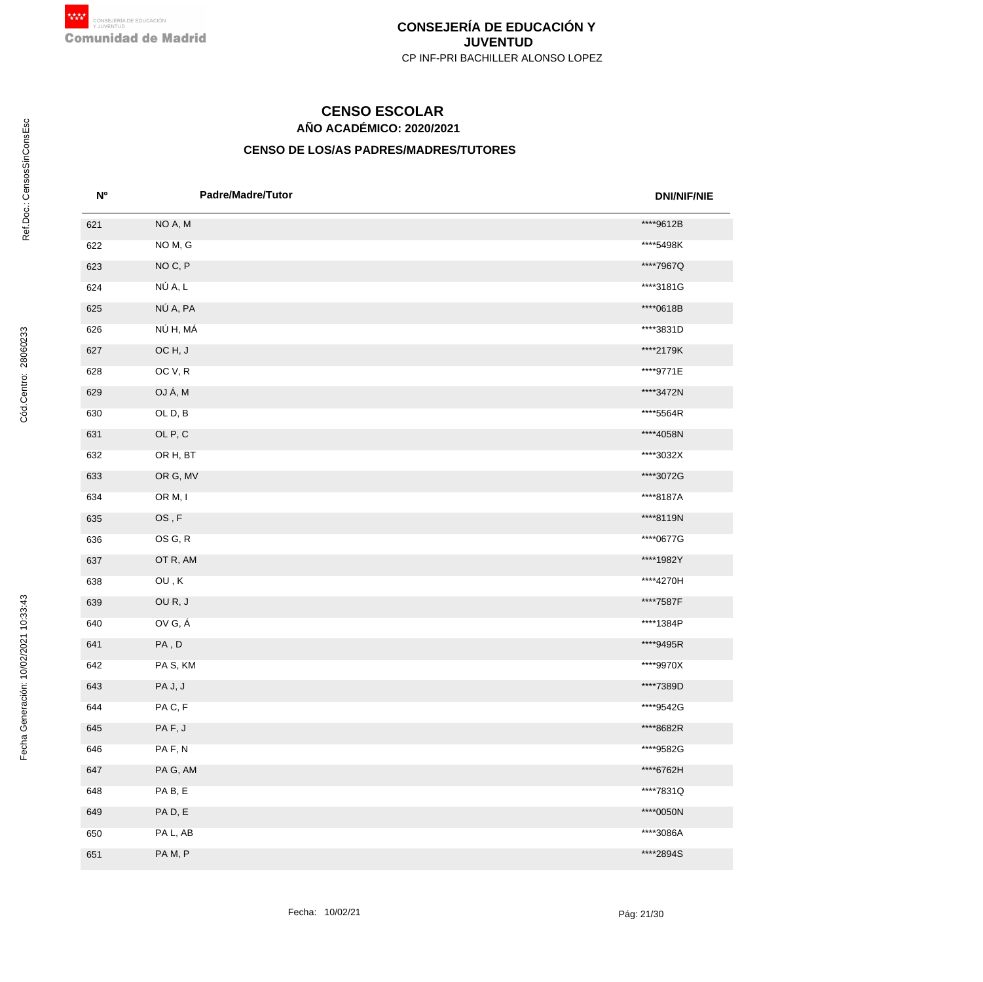# **AÑO ACADÉMICO: 2020/2021 CENSO ESCOLAR**

| <b>No</b> | <b>Padre/Madre/Tutor</b>                   | <b>DNI/NIF/NIE</b> |
|-----------|--------------------------------------------|--------------------|
| 621       | NO A, M                                    | ****9612B          |
| 622       | NO M, G                                    | ****5498K          |
| 623       | NOC, P                                     | ****7967Q          |
| 624       | NÚ A, L                                    | ****3181G          |
| 625       | NÚ A, PA                                   | ****0618B          |
| 626       | NÚ H, MÁ                                   | ****3831D          |
| 627       | OCH, J                                     | ****2179K          |
| 628       | OC V, R                                    | ****9771E          |
| 629       | OJÁ, M                                     | ****3472N          |
| 630       | OLD, B                                     | ****5564R          |
| 631       | OL P, C                                    | ****4058N          |
| 632       | OR H, BT                                   | ****3032X          |
| 633       | OR G, MV                                   | ****3072G          |
| 634       | OR M, I                                    | ****8187A          |
| 635       | $\mathsf{OS}\xspace$ , $\mathsf{F}\xspace$ | ****8119N          |
| 636       | OS G, R                                    | ****0677G          |
| 637       | OT R, AM                                   | ****1982Y          |
| 638       | $\mathsf{OU}$ , $\mathsf{K}$               | ****4270H          |
| 639       | OUR, J                                     | ****7587F          |
| 640       | OV G, Á                                    | ****1384P          |
| 641       | PA, D                                      | ****9495R          |
| 642       | PAS, KM                                    | ****9970X          |
| 643       | PA J, J                                    | ****7389D          |
| 644       | PAC, F                                     | ****9542G          |
| 645       | PAF, J                                     | ****8682R          |
| 646       | PAF, N                                     | ****9582G          |
| 647       | PAG, AM                                    | ****6762H          |
| 648       | PAB, E                                     | ****7831Q          |
| 649       | PAD, E                                     | ****0050N          |
| 650       | PA L, AB                                   | ****3086A          |
| 651       | PAM, P                                     | ****2894S          |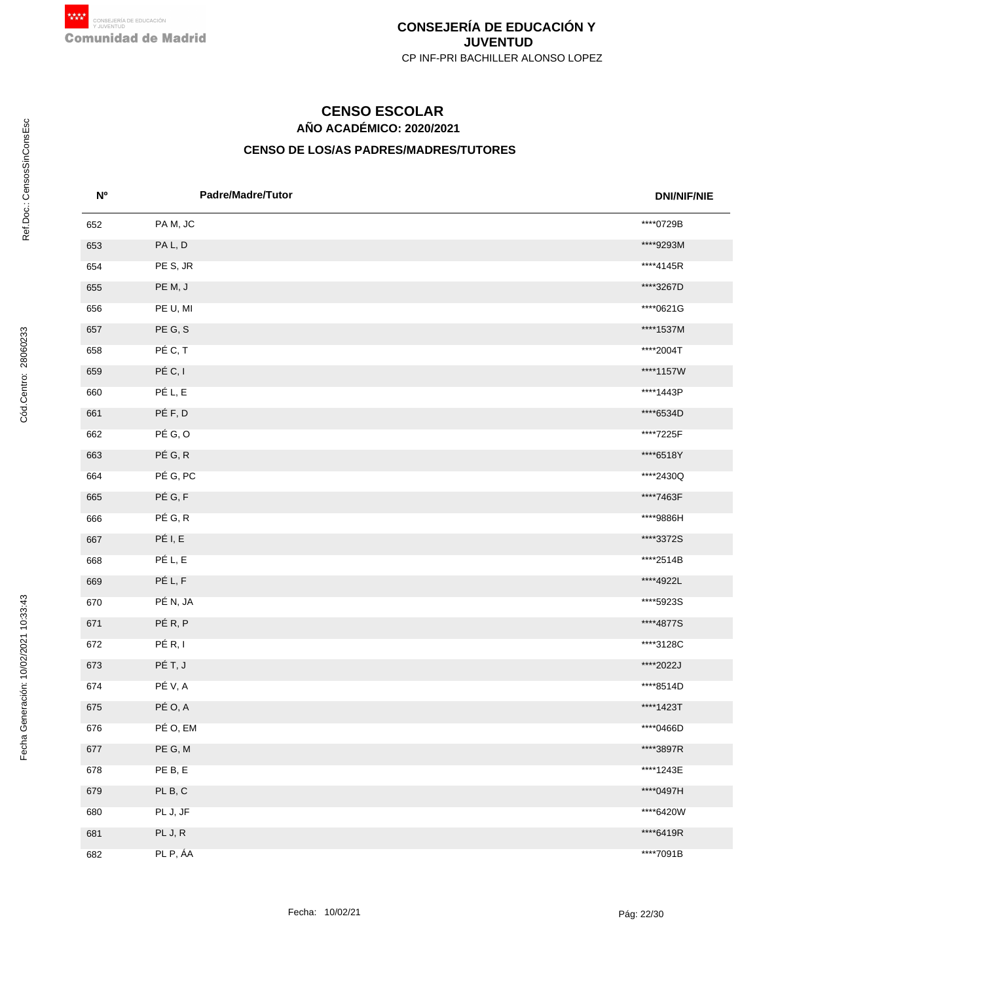# **AÑO ACADÉMICO: 2020/2021 CENSO ESCOLAR**

| <b>N°</b> | <b>Padre/Madre/Tutor</b> | <b>DNI/NIF/NIE</b> |
|-----------|--------------------------|--------------------|
| 652       | PAM, JC                  | ****0729B          |
| 653       | PA L, D                  | ****9293M          |
| 654       | PE S, JR                 | ****4145R          |
| 655       | PE M, J                  | ****3267D          |
| 656       | PE U, MI                 | ****0621G          |
| 657       | PE G, S                  | ****1537M          |
| 658       | PÉ C, T                  | ****2004T          |
| 659       | PÉ C, I                  | ****1157W          |
| 660       | PÉ L, E                  | ****1443P          |
| 661       | PÉF, D                   | ****6534D          |
| 662       | PÉ G, O                  | ****7225F          |
| 663       | PÉ G, R                  | ****6518Y          |
| 664       | PÉ G, PC                 | ****2430Q          |
| 665       | PÉ G, F                  | ****7463F          |
| 666       | PÉ G, R                  | ****9886H          |
| 667       | PÉ I, E                  | ****3372S          |
| 668       | PÉ L, E                  | ****2514B          |
| 669       | PÉ L, F                  | ****4922L          |
| 670       | PÉ N, JA                 | **** 5923S         |
| 671       | PÉR, P                   | ****4877S          |
| 672       | PÉ R, I                  | ****3128C          |
| 673       | PÉ T, J                  | ****2022J          |
| 674       | PÉ V, A                  | ****8514D          |
| 675       | PÉ O, A                  | ****1423T          |
| 676       | PÉ O, EM                 | ****0466D          |
| 677       | PE G, M                  | ****3897R          |
| 678       | PE B, E                  | ****1243E          |
| 679       | PL B, C                  | ****0497H          |
| 680       | PL J, JF                 | ****6420W          |
| 681       | PL J, R                  | ****6419R          |
| 682       | PL P, ÁA                 | ****7091B          |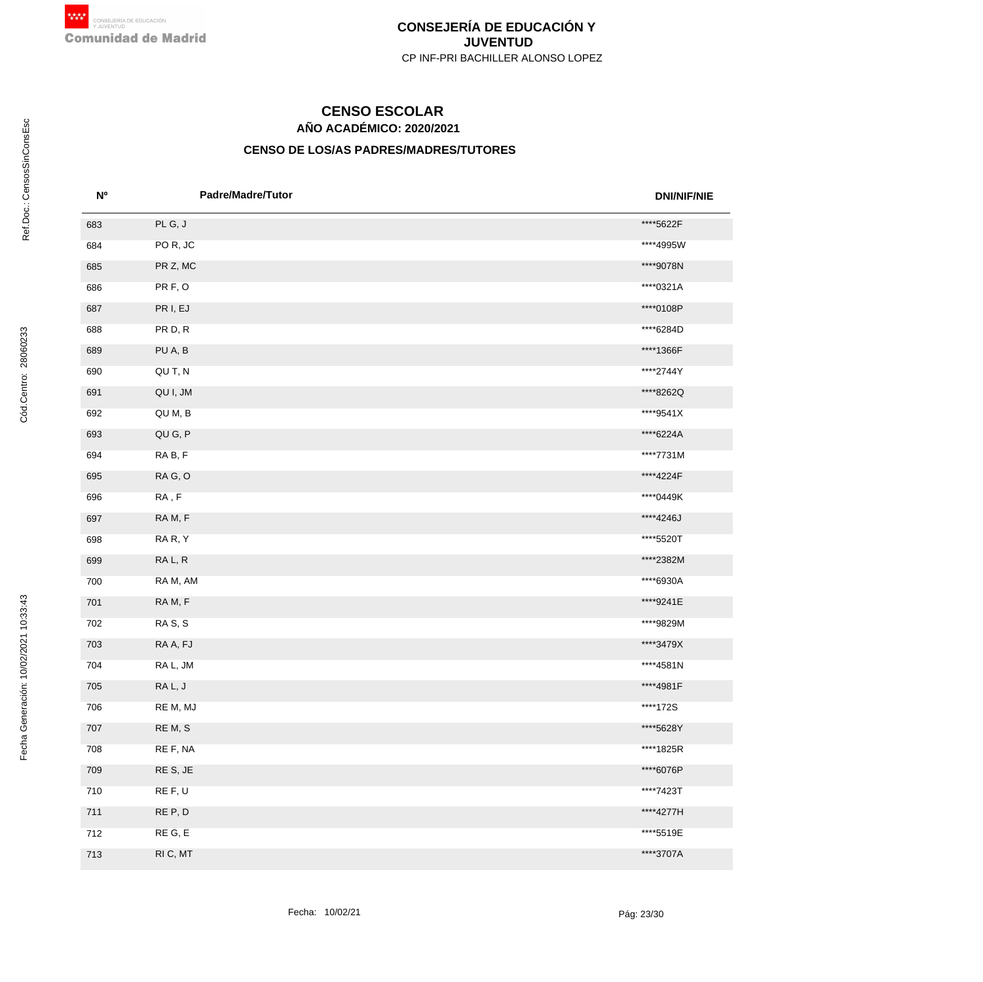# **AÑO ACADÉMICO: 2020/2021 CENSO ESCOLAR**

| N <sub>o</sub> | <b>Padre/Madre/Tutor</b> | <b>DNI/NIF/NIE</b> |
|----------------|--------------------------|--------------------|
| 683            | PLG, J                   | ****5622F          |
| 684            | POR, JC                  | ****4995W          |
| 685            | PR Z, MC                 | ****9078N          |
| 686            | PR F, O                  | ****0321A          |
| 687            | PR I, EJ                 | ****0108P          |
| 688            | PR D, R                  | ****6284D          |
| 689            | PU A, B                  | ****1366F          |
| 690            | QU T, N                  | ****2744Y          |
| 691            | QU I, JM                 | ****8262Q          |
| 692            | QU M, B                  | ****9541X          |
| 693            | QU G, P                  | ****6224A          |
| 694            | RAB, F                   | ****7731M          |
| 695            | RAG, O                   | ****4224F          |
| 696            | ${\sf RA}$ , ${\sf F}$   | ****0449K          |
| 697            | RAM, F                   | ****4246J          |
| 698            | RAR, Y                   | ****5520T          |
| 699            | RA L, R                  | ****2382M          |
| 700            | RA M, AM                 | ****6930A          |
| 701            | RAM, F                   | ****9241E          |
| 702            | RA S, S                  | ****9829M          |
| 703            | RA A, FJ                 | ****3479X          |
| 704            | RA L, JM                 | ****4581N          |
| 705            | RAL, J                   | ****4981F          |
| 706            | RE M, MJ                 | ****172S           |
| 707            | RE M, S                  | ****5628Y          |
| 708            | RE F, NA                 | ****1825R          |
| 709            | RE S, JE                 | ****6076P          |
| 710            | RE F, U                  | ****7423T          |
| 711            | RE P, D                  | ****4277H          |
| 712            | RE G, E                  | ****5519E          |
| 713            | RI C, MT                 | ****3707A          |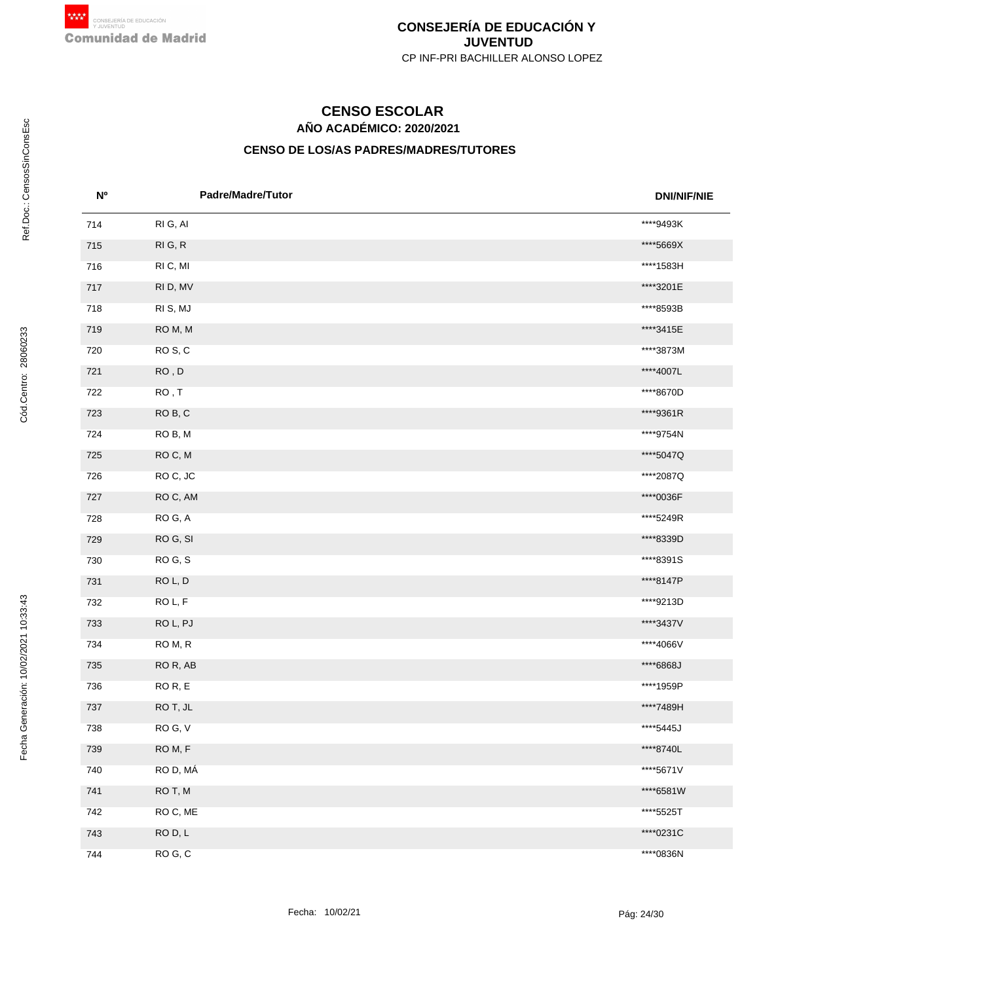# **AÑO ACADÉMICO: 2020/2021 CENSO ESCOLAR**

| <b>N°</b> | <b>Padre/Madre/Tutor</b> | <b>DNI/NIF/NIE</b> |
|-----------|--------------------------|--------------------|
| 714       | RI G, AI                 | ****9493K          |
| 715       | RIG, R                   | ****5669X          |
| 716       | RI C, MI                 | ****1583H          |
| 717       | RI D, MV                 | ****3201E          |
| 718       | RIS, MJ                  | ****8593B          |
| 719       | ROM, M                   | ****3415E          |
| 720       | ROS, C                   | ****3873M          |
| 721       | ${\sf RO}$ , ${\sf D}$   | ****4007L          |
| 722       | RO, T                    | ****8670D          |
| 723       | ROB, C                   | ****9361R          |
| 724       | ROB, M                   | ****9754N          |
| 725       | ROC, M                   | ****5047Q          |
| 726       | ROC, JC                  | ****2087Q          |
| 727       | ROC, AM                  | ****0036F          |
| 728       | ROG, A                   | ****5249R          |
| 729       | ROG, SI                  | ****8339D          |
| 730       | ROG, S                   | ****8391S          |
| 731       | ROL, D                   | ****8147P          |
| 732       | ROL, F                   | ****9213D          |
| 733       | ROL, PJ                  | ****3437V          |
| 734       | ROM, R                   | ****4066V          |
| 735       | ROR, AB                  | ****6868J          |
| 736       | ROR, E                   | ****1959P          |
| 737       | RO T, JL                 | ****7489H          |
| 738       | ROG, V                   | ****5445J          |
| 739       | ROM, F                   | ****8740L          |
| 740       | RO D, MÁ                 | ****5671V          |
| 741       | RO T, M                  | ****6581W          |
| 742       | RO C, ME                 | ****5525T          |
| 743       | ROD, L                   | ****0231C          |
| 744       | ROG, C                   | ****0836N          |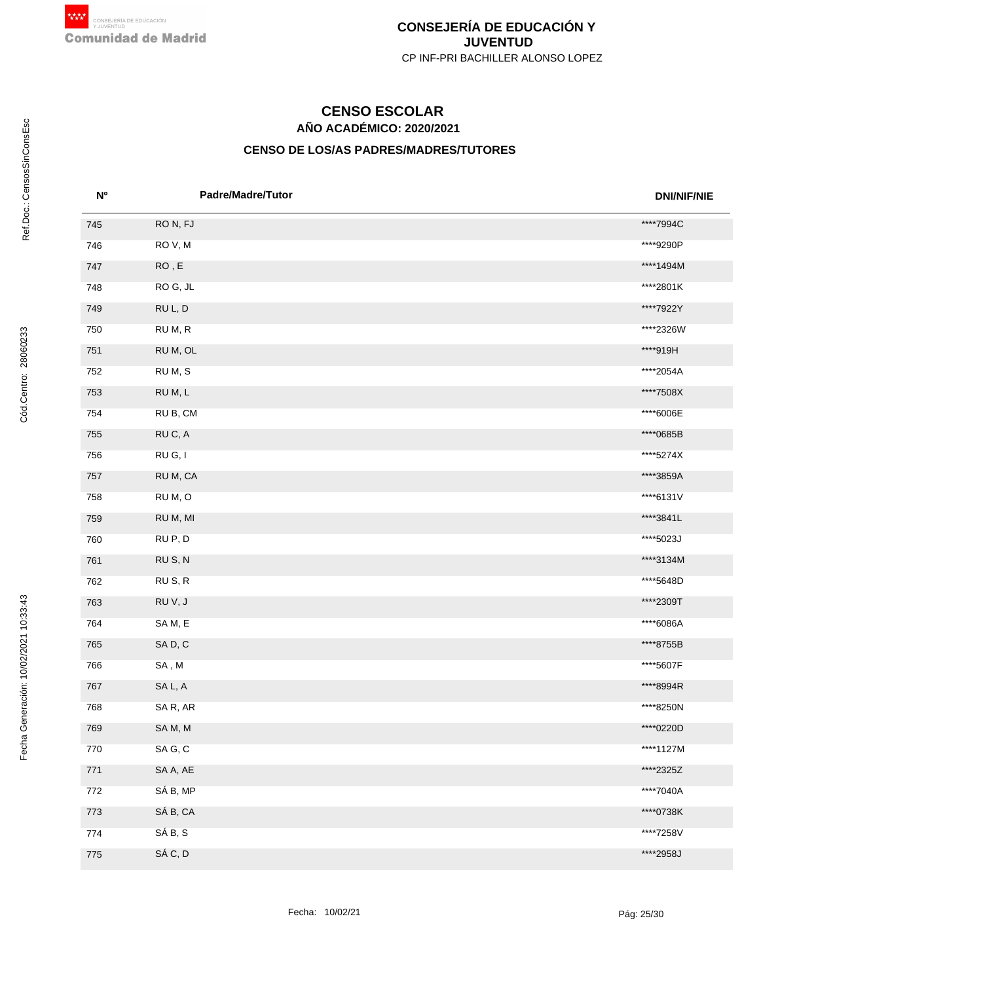# **AÑO ACADÉMICO: 2020/2021 CENSO ESCOLAR**

| N <sub>0</sub> | Padre/Madre/Tutor      | <b>DNI/NIF/NIE</b> |
|----------------|------------------------|--------------------|
| 745            | RON, FJ                | ****7994C          |
| 746            | ROV, M                 | ****9290P          |
| 747            | ${\sf RO}$ , ${\sf E}$ | ****1494M          |
| 748            | ROG, JL                | ****2801K          |
| 749            | RUL, D                 | ****7922Y          |
| 750            | RUM, R                 | ****2326W          |
| 751            | RU M, OL               | ****919H           |
| 752            | RUM, S                 | ****2054A          |
| 753            | RUM, L                 | ****7508X          |
| 754            | RU B, CM               | ****6006E          |
| 755            | RUC, A                 | ****0685B          |
| 756            | RU G, I                | ****5274X          |
| 757            | RU M, CA               | ****3859A          |
| 758            | RUM, O                 | ****6131V          |
| 759            | RU M, MI               | ****3841L          |
| 760            | RUP, D                 | ****5023J          |
| 761            | RUS, N                 | ****3134M          |
| 762            | RUS, R                 | ****5648D          |
| 763            | RUV, J                 | ****2309T          |
| 764            | SAM, E                 | ****6086A          |
| 765            | SAD, C                 | ****8755B          |
| 766            | SA, M                  | ****5607F          |
| 767            | SA L, A                | ****8994R          |
| 768            | SAR, AR                | ****8250N          |
| 769            | SAM, M                 | ****0220D          |
| 770            | SAG, C                 | ****1127M          |
| 771            | SA A, AE               | ****2325Z          |
| 772            | SÁ B, MP               | ****7040A          |
| 773            | SÁ B, CA               | ****0738K          |
| 774            | SÁ B, S                | ****7258V          |
| 775            | SÁ C, D                | ****2958J          |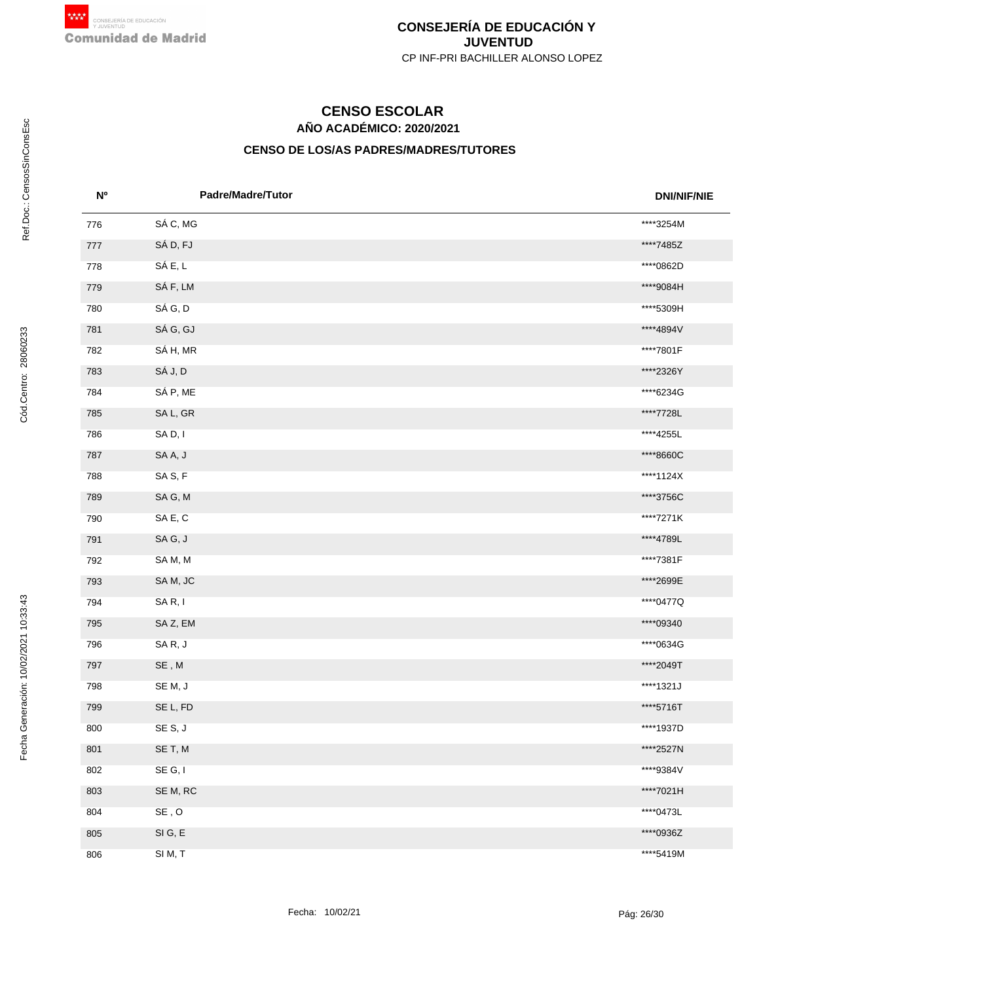# **AÑO ACADÉMICO: 2020/2021 CENSO ESCOLAR**

| N <sub>o</sub> | <b>Padre/Madre/Tutor</b>                   | <b>DNI/NIF/NIE</b> |
|----------------|--------------------------------------------|--------------------|
| 776            | SÁ C, MG                                   | ****3254M          |
| 777            | SÁ D, FJ                                   | ****7485Z          |
| 778            | SÁ E, L                                    | ****0862D          |
| 779            | SÁ F, LM                                   | ****9084H          |
| 780            | SÁ G, D                                    | ****5309H          |
| 781            | SÁ G, GJ                                   | ****4894V          |
| 782            | SÁ H, MR                                   | ****7801F          |
| 783            | SÁ J, D                                    | ****2326Y          |
| 784            | SÁ P, ME                                   | ****6234G          |
| 785            | SA L, GR                                   | ****7728L          |
| 786            | SAD, I                                     | ****4255L          |
| 787            | SAA, J                                     | ****8660C          |
| 788            | SAS, F                                     | ****1124X          |
| 789            | SAG, M                                     | ****3756C          |
| 790            | SAE, C                                     | ****7271K          |
| 791            | SAG, J                                     | ****4789L          |
| 792            | SAM, M                                     | ****7381F          |
| 793            | SAM, JC                                    | ****2699E          |
| 794            | SAR, I                                     | ****0477Q          |
| 795            | SAZ, EM                                    | ****09340          |
| 796            | SAR, J                                     | ****0634G          |
| 797            | $\mathsf{SE}\xspace$ , $\mathsf{M}\xspace$ | ****2049T          |
| 798            | SEM, J                                     | ****1321J          |
| 799            | SE L, FD                                   | ****5716T          |
| 800            | SES, J                                     | ****1937D          |
| 801            | SE T, M                                    | ****2527N          |
| 802            | SE G, I                                    | ****9384V          |
| 803            | SE M, RC                                   | ****7021H          |
| 804            | $\mathsf{SE}$ , $\mathsf{O}$               | ****0473L          |
| 805            | SIG, E                                     | ****0936Z          |
| 806            | SIM, T                                     | ****5419M          |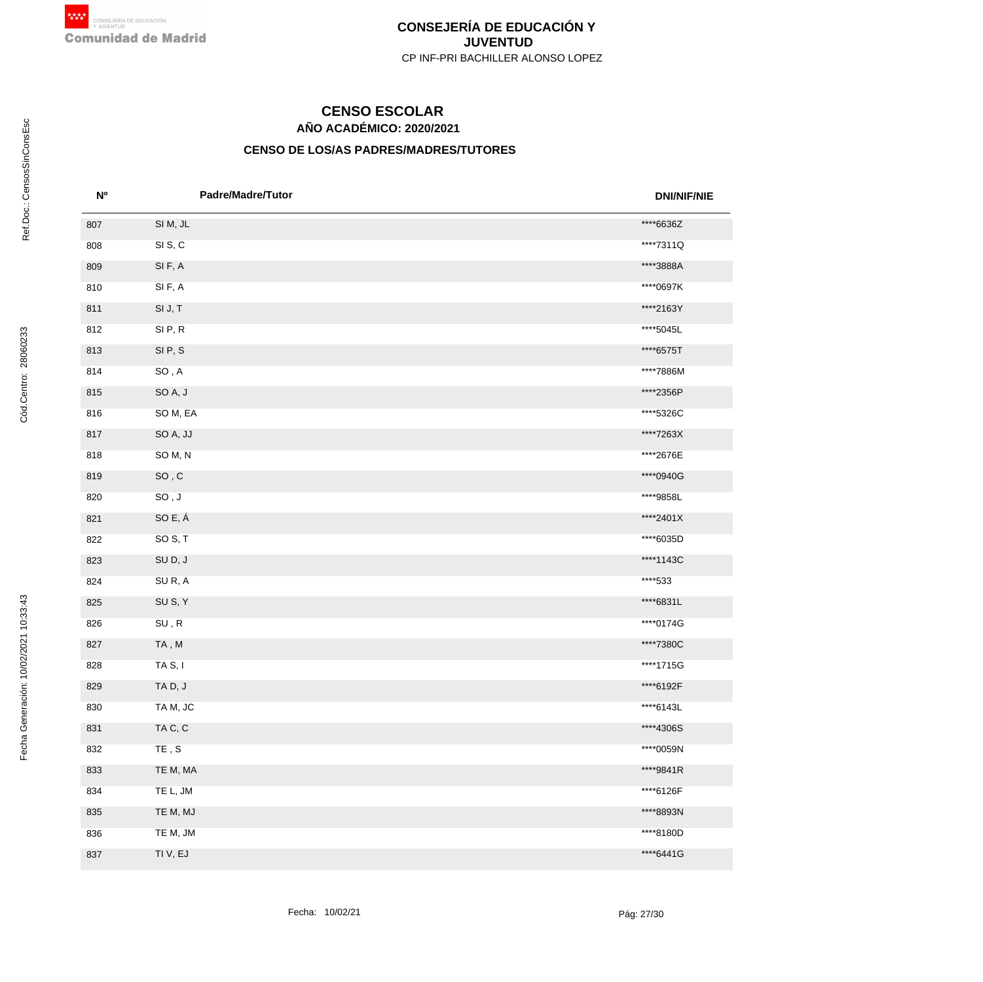# **AÑO ACADÉMICO: 2020/2021 CENSO ESCOLAR**

| <b>No</b> | Padre/Madre/Tutor            | <b>DNI/NIF/NIE</b> |
|-----------|------------------------------|--------------------|
| 807       | SIM, JL                      | ****6636Z          |
| 808       | SIS, C                       | ****7311Q          |
| 809       | SIF, A                       | ****3888A          |
| 810       | SIF, A                       | ****0697K          |
| 811       | SI J, T                      | ****2163Y          |
| 812       | SIP, R                       | ****5045L          |
| 813       | SIP, S                       | ****6575T          |
| 814       | $SO, A$                      | ****7886M          |
| 815       | SOA, J                       | ****2356P          |
| 816       | SOM, EA                      | ****5326C          |
| 817       | SO A, JJ                     | ****7263X          |
| 818       | SOM, N                       | ****2676E          |
| 819       | $SO$ , $C$                   | ****0940G          |
| 820       | $\mathsf{SO}$ , $\mathsf{J}$ | ****9858L          |
| 821       | SO E, Á                      | ****2401X          |
| 822       | SO <sub>S</sub> , T          | ****6035D          |
| 823       | SUD, J                       | ****1143C          |
| 824       | SUR, A                       | ****533            |
| 825       | SUS, Y                       | ****6831L          |
| 826       | $\textsf{SU}$ , $\textsf{R}$ | ****0174G          |
| 827       | TA, M                        | ****7380C          |
| 828       | TA S, I                      | ****1715G          |
| 829       | TAD, J                       | ****6192F          |
| 830       | TAM, JC                      | ****6143L          |
| 831       | TAC, C                       | ****4306S          |
| 832       | $\mathsf{TE}$ , $\mathsf{S}$ | ****0059N          |
| 833       | TE M, MA                     | ****9841R          |
| 834       | TE L, JM                     | ****6126F          |
| 835       | TE M, MJ                     | ****8893N          |
| 836       | TE M, JM                     | ****8180D          |
| 837       | TI V, EJ                     | ****6441G          |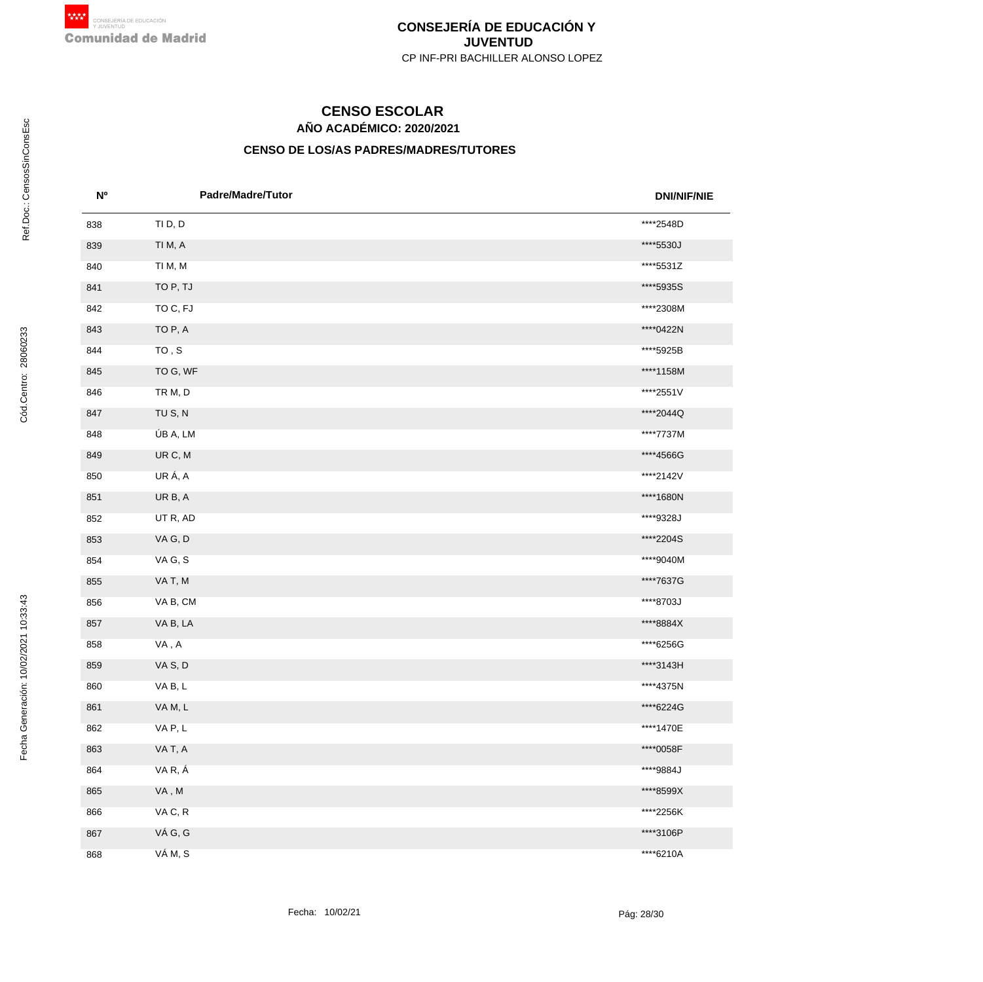# **AÑO ACADÉMICO: 2020/2021 CENSO ESCOLAR**

| <b>N°</b> | <b>Padre/Madre/Tutor</b>                   | <b>DNI/NIF/NIE</b> |
|-----------|--------------------------------------------|--------------------|
| 838       | TI D, D                                    | ****2548D          |
| 839       | TI M, A                                    | ****5530J          |
| 840       | TI M, M                                    | ****5531Z          |
| 841       | TO P, TJ                                   | ****5935S          |
| 842       | TO C, FJ                                   | ****2308M          |
| 843       | TO P, A                                    | ****0422N          |
| 844       | ${\tt TO}$ , ${\tt S}$                     | ****5925B          |
| 845       | TO G, WF                                   | ****1158M          |
| 846       | TR M, D                                    | ****2551V          |
| 847       | TU S, N                                    | ****2044Q          |
| 848       | ÚB A, LM                                   | ****7737M          |
| 849       | UR C, M                                    | ****4566G          |
| 850       | URÁ, A                                     | ****2142V          |
| 851       | UR B, A                                    | ****1680N          |
| 852       | UT R, AD                                   | ****9328J          |
| 853       | VAG, D                                     | ****2204S          |
| 854       | VAG, S                                     | ****9040M          |
| 855       | VAT, M                                     | ****7637G          |
| 856       | VA B, CM                                   | ****8703J          |
| 857       | VA B, LA                                   | ****8884X          |
| 858       | VA, A                                      | ****6256G          |
| 859       | VAS, D                                     | ****3143H          |
| 860       | VAB, L                                     | ****4375N          |
| 861       | VAM, L                                     | ****6224G          |
| 862       | VAP, L                                     | ****1470E          |
| 863       | VAT, A                                     | ****0058F          |
| 864       | VAR, Á                                     | ****9884J          |
| 865       | $\mathsf{VA}\xspace$ , $\mathsf{M}\xspace$ | ****8599X          |
| 866       | VAC, R                                     | ****2256K          |
| 867       | VÁG, G                                     | ****3106P          |
| 868       | VÁM, S                                     | ****6210A          |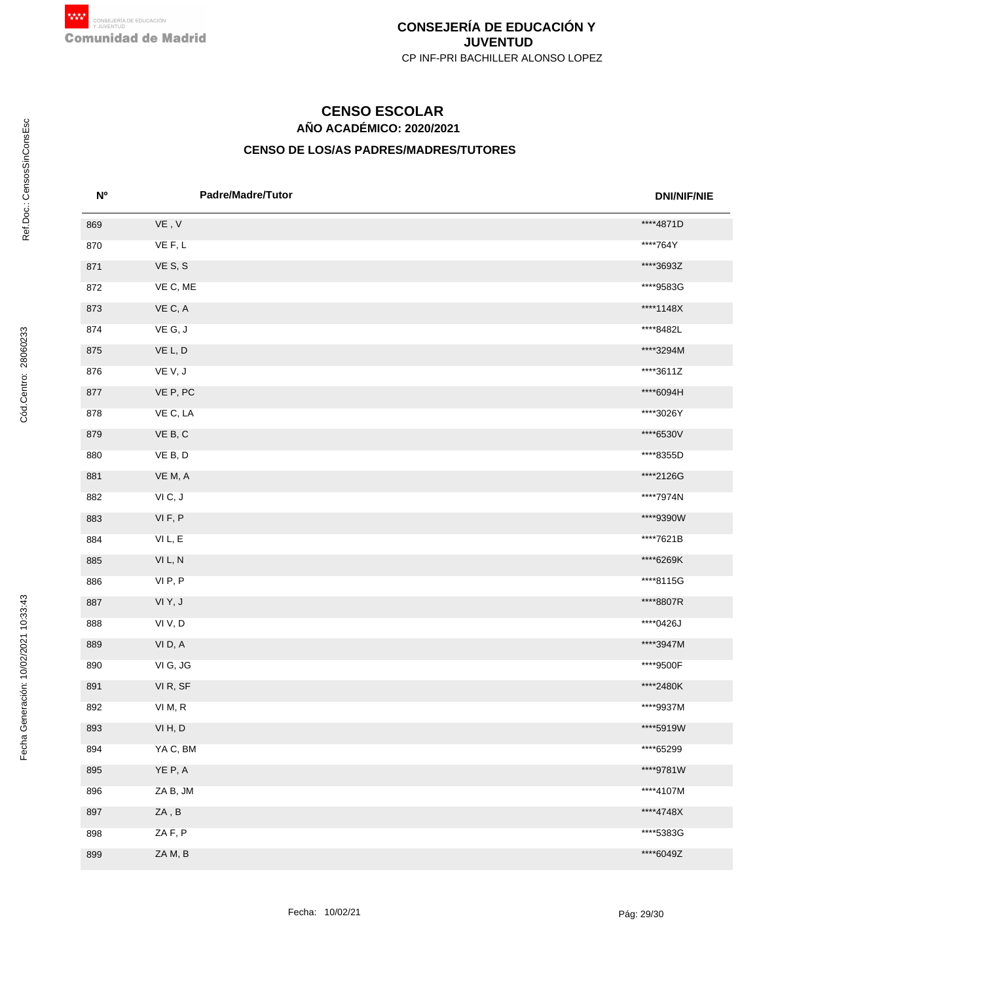# **AÑO ACADÉMICO: 2020/2021 CENSO ESCOLAR**

| <b>No</b> | <b>Padre/Madre/Tutor</b>     | <b>DNI/NIF/NIE</b> |
|-----------|------------------------------|--------------------|
| 869       | $\mathsf{VE}$ , $\mathsf{V}$ | ****4871D          |
| 870       | VE F, L                      | ****764Y           |
| 871       | VES, S                       | ****3693Z          |
| 872       | VE C, ME                     | ****9583G          |
| 873       | VE C, A                      | ****1148X          |
| 874       | VEG, J                       | ****8482L          |
| 875       | VE L, D                      | ****3294M          |
| 876       | VEV, J                       | ****3611Z          |
| 877       | VE P, PC                     | ****6094H          |
| 878       | VE C, LA                     | ****3026Y          |
| 879       | VE B, C                      | ****6530V          |
| 880       | VE B, D                      | ****8355D          |
| 881       | VE M, A                      | ****2126G          |
| 882       | VIC, J                       | ****7974N          |
| 883       | VIF, P                       | ****9390W          |
| 884       | VIL, E                       | ****7621B          |
| 885       | VIL, N                       | ****6269K          |
| 886       | VIP, P                       | ****8115G          |
| 887       | VIY, J                       | ****8807R          |
| 888       | VIV, D                       | ****0426J          |
| 889       | VID, A                       | ****3947M          |
| 890       | VI G, JG                     | ****9500F          |
| 891       | VI R, SF                     | ****2480K          |
| 892       | VI M, R                      | ****9937M          |
| 893       | VIH, D                       | ****5919W          |
| 894       | YA C, BM                     | ****65299          |
| 895       | YE P, A                      | ****9781W          |
| 896       | ZA B, JM                     | ****4107M          |
| 897       | ZA, B                        | ****4748X          |
| 898       | ZAF, P                       | ****5383G          |
| 899       | ZAM, B                       | ****6049Z          |